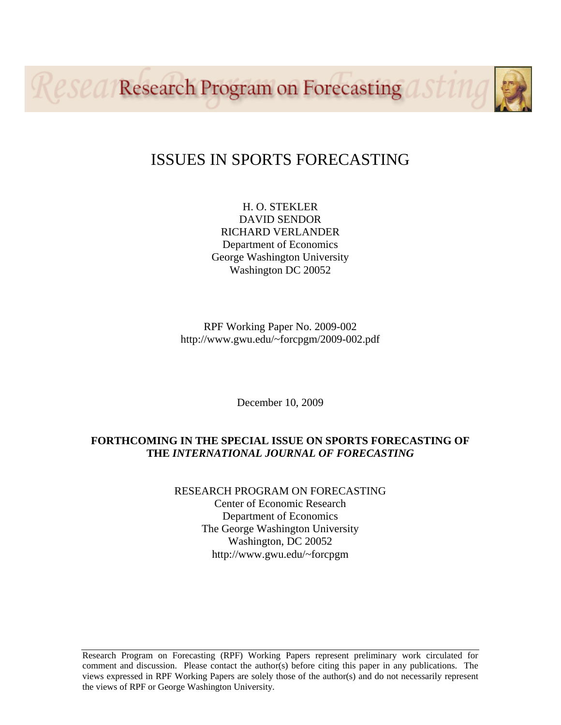Reseal Research Program on Forecasting asting

## ISSUES IN SPORTS FORECASTING

H. O. STEKLER DAVID SENDOR RICHARD VERLANDER Department of Economics George Washington University Washington DC 20052

RPF Working Paper No. 2009-002 http://www.gwu.edu/~forcpgm/2009-002.pdf

December 10, 2009

### **FORTHCOMING IN THE SPECIAL ISSUE ON SPORTS FORECASTING OF THE** *INTERNATIONAL JOURNAL OF FORECASTING*

RESEARCH PROGRAM ON FORECASTING Center of Economic Research Department of Economics The George Washington University Washington, DC 20052 http://www.gwu.edu/~forcpgm

Research Program on Forecasting (RPF) Working Papers represent preliminary work circulated for comment and discussion. Please contact the author(s) before citing this paper in any publications. The views expressed in RPF Working Papers are solely those of the author(s) and do not necessarily represent the views of RPF or George Washington University.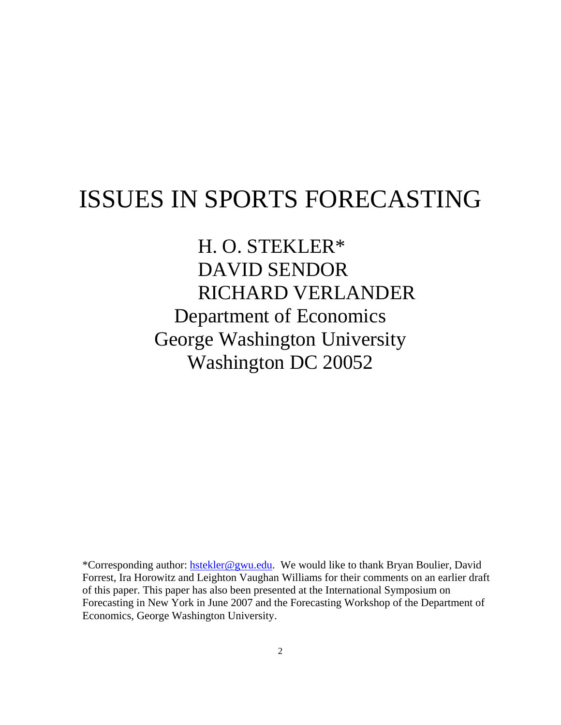# ISSUES IN SPORTS FORECASTING

H. O. STEKLER\* DAVID SENDOR RICHARD VERLANDER Department of Economics George Washington University Washington DC 20052

\*Corresponding author: hstekler@gwu.edu. We would like to thank Bryan Boulier, David Forrest, Ira Horowitz and Leighton Vaughan Williams for their comments on an earlier draft of this paper. This paper has also been presented at the International Symposium on Forecasting in New York in June 2007 and the Forecasting Workshop of the Department of Economics, George Washington University.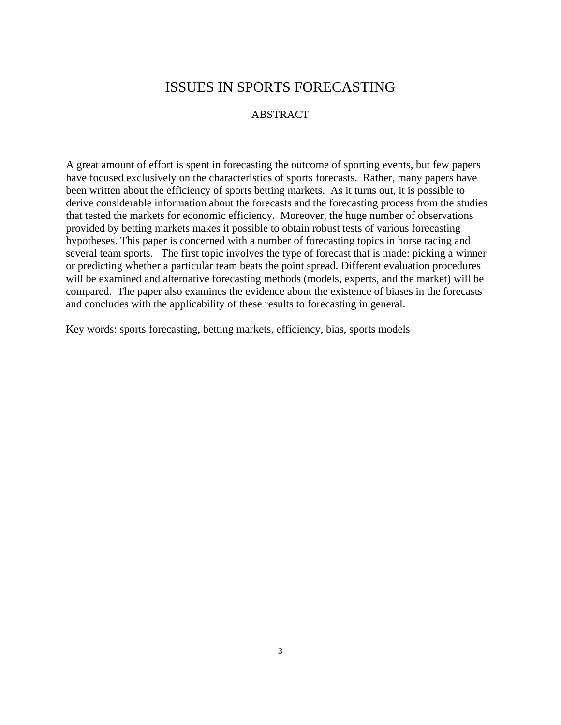## ISSUES IN SPORTS FORECASTING

#### ABSTRACT

A great amount of effort is spent in forecasting the outcome of sporting events, but few papers have focused exclusively on the characteristics of sports forecasts. Rather, many papers have been written about the efficiency of sports betting markets. As it turns out, it is possible to derive considerable information about the forecasts and the forecasting process from the studies that tested the markets for economic efficiency. Moreover, the huge number of observations provided by betting markets makes it possible to obtain robust tests of various forecasting hypotheses. This paper is concerned with a number of forecasting topics in horse racing and several team sports. The first topic involves the type of forecast that is made: picking a winner or predicting whether a particular team beats the point spread. Different evaluation procedures will be examined and alternative forecasting methods (models, experts, and the market) will be compared. The paper also examines the evidence about the existence of biases in the forecasts and concludes with the applicability of these results to forecasting in general.

Key words: sports forecasting, betting markets, efficiency, bias, sports models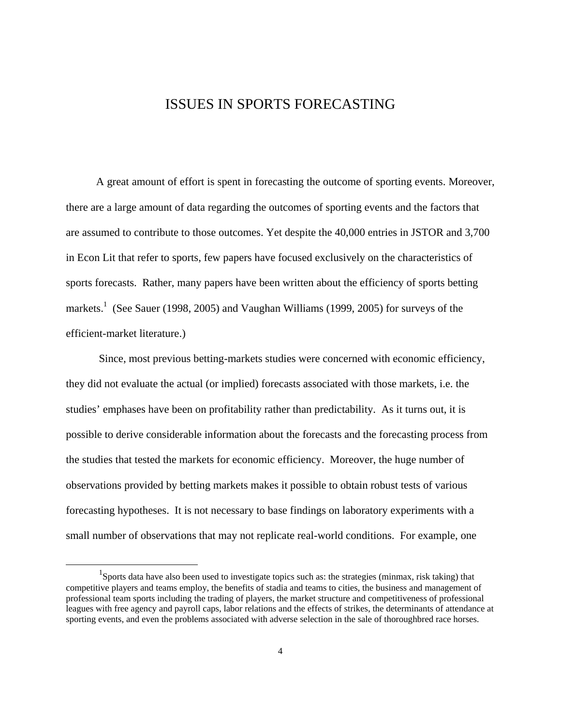## ISSUES IN SPORTS FORECASTING

 A great amount of effort is spent in forecasting the outcome of sporting events. Moreover, there are a large amount of data regarding the outcomes of sporting events and the factors that are assumed to contribute to those outcomes. Yet despite the 40,000 entries in JSTOR and 3,700 in Econ Lit that refer to sports, few papers have focused exclusively on the characteristics of sports forecasts. Rather, many papers have been written about the efficiency of sports betting markets.<sup>1</sup> (See Sauer (1998, 2005) and Vaughan Williams (1999, 2005) for surveys of the efficient-market literature.)

 Since, most previous betting-markets studies were concerned with economic efficiency, they did not evaluate the actual (or implied) forecasts associated with those markets, i.e. the studies' emphases have been on profitability rather than predictability. As it turns out, it is possible to derive considerable information about the forecasts and the forecasting process from the studies that tested the markets for economic efficiency. Moreover, the huge number of observations provided by betting markets makes it possible to obtain robust tests of various forecasting hypotheses. It is not necessary to base findings on laboratory experiments with a small number of observations that may not replicate real-world conditions. For example, one

<sup>&</sup>lt;u>1</u> Sports data have also been used to investigate topics such as: the strategies (minmax, risk taking) that competitive players and teams employ, the benefits of stadia and teams to cities, the business and management of professional team sports including the trading of players, the market structure and competitiveness of professional leagues with free agency and payroll caps, labor relations and the effects of strikes, the determinants of attendance at sporting events, and even the problems associated with adverse selection in the sale of thoroughbred race horses.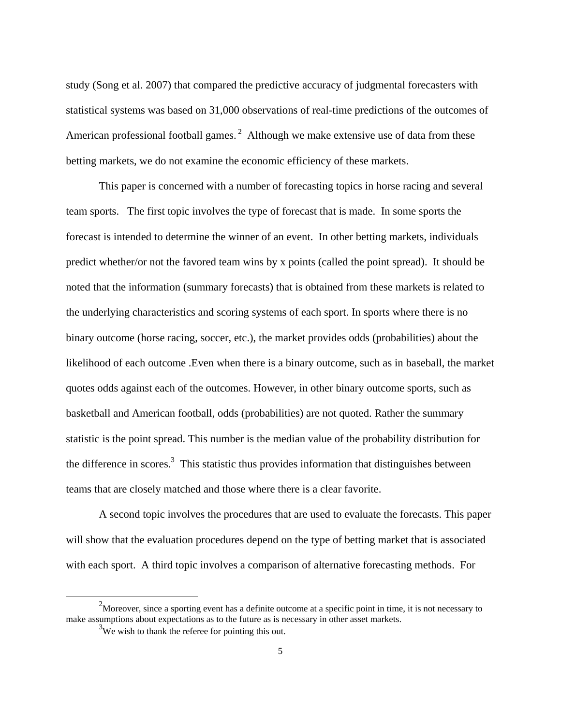study (Song et al. 2007) that compared the predictive accuracy of judgmental forecasters with statistical systems was based on 31,000 observations of real-time predictions of the outcomes of American professional football games.<sup>2</sup> Although we make extensive use of data from these betting markets, we do not examine the economic efficiency of these markets.

 This paper is concerned with a number of forecasting topics in horse racing and several team sports. The first topic involves the type of forecast that is made. In some sports the forecast is intended to determine the winner of an event. In other betting markets, individuals predict whether/or not the favored team wins by x points (called the point spread). It should be noted that the information (summary forecasts) that is obtained from these markets is related to the underlying characteristics and scoring systems of each sport. In sports where there is no binary outcome (horse racing, soccer, etc.), the market provides odds (probabilities) about the likelihood of each outcome .Even when there is a binary outcome, such as in baseball, the market quotes odds against each of the outcomes. However, in other binary outcome sports, such as basketball and American football, odds (probabilities) are not quoted. Rather the summary statistic is the point spread. This number is the median value of the probability distribution for the difference in scores.<sup>3</sup> This statistic thus provides information that distinguishes between teams that are closely matched and those where there is a clear favorite.

 A second topic involves the procedures that are used to evaluate the forecasts. This paper will show that the evaluation procedures depend on the type of betting market that is associated with each sport. A third topic involves a comparison of alternative forecasting methods. For

 <sup>2</sup> Moreover, since a sporting event has a definite outcome at a specific point in time, it is not necessary to make assumptions about expectations as to the future as is necessary in other asset markets.

 $3\overline{\text{We}}$  wish to thank the referee for pointing this out.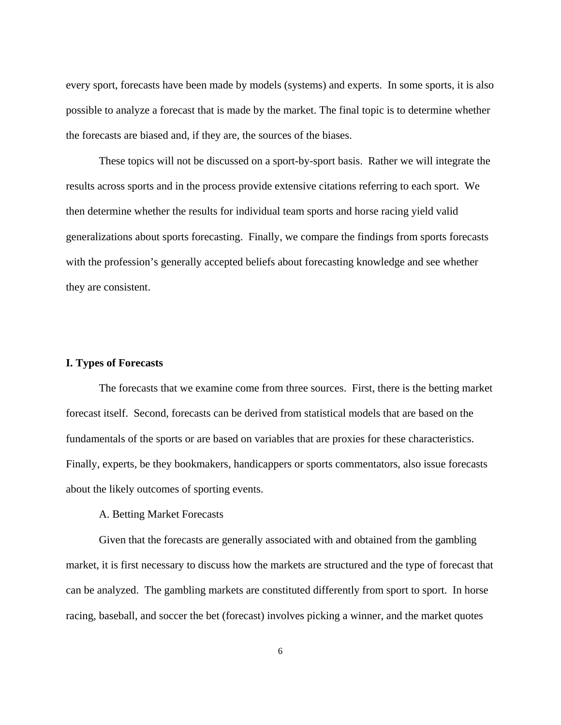every sport, forecasts have been made by models (systems) and experts. In some sports, it is also possible to analyze a forecast that is made by the market. The final topic is to determine whether the forecasts are biased and, if they are, the sources of the biases.

 These topics will not be discussed on a sport-by-sport basis. Rather we will integrate the results across sports and in the process provide extensive citations referring to each sport. We then determine whether the results for individual team sports and horse racing yield valid generalizations about sports forecasting. Finally, we compare the findings from sports forecasts with the profession's generally accepted beliefs about forecasting knowledge and see whether they are consistent.

#### **I. Types of Forecasts**

 The forecasts that we examine come from three sources. First, there is the betting market forecast itself. Second, forecasts can be derived from statistical models that are based on the fundamentals of the sports or are based on variables that are proxies for these characteristics. Finally, experts, be they bookmakers, handicappers or sports commentators, also issue forecasts about the likely outcomes of sporting events.

#### A. Betting Market Forecasts

 Given that the forecasts are generally associated with and obtained from the gambling market, it is first necessary to discuss how the markets are structured and the type of forecast that can be analyzed. The gambling markets are constituted differently from sport to sport. In horse racing, baseball, and soccer the bet (forecast) involves picking a winner, and the market quotes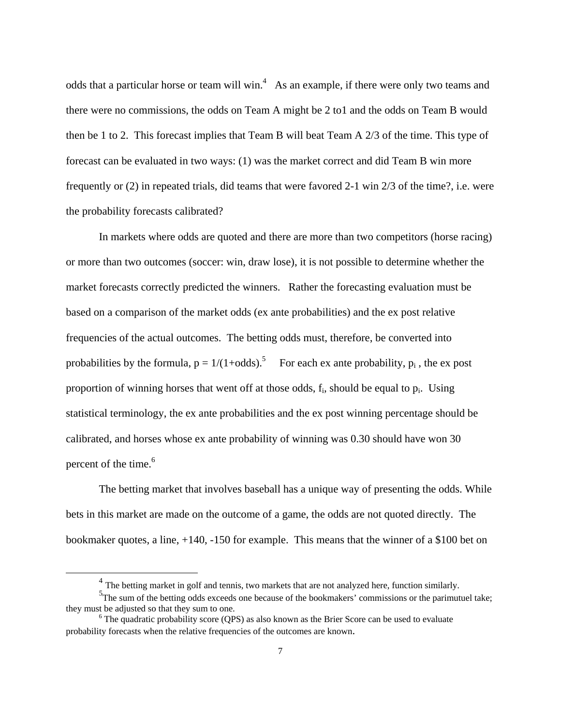odds that a particular horse or team will win.<sup>4</sup> As an example, if there were only two teams and there were no commissions, the odds on Team A might be 2 to1 and the odds on Team B would then be 1 to 2. This forecast implies that Team B will beat Team A 2/3 of the time. This type of forecast can be evaluated in two ways: (1) was the market correct and did Team B win more frequently or (2) in repeated trials, did teams that were favored 2-1 win 2/3 of the time?, i.e. were the probability forecasts calibrated?

 In markets where odds are quoted and there are more than two competitors (horse racing) or more than two outcomes (soccer: win, draw lose), it is not possible to determine whether the market forecasts correctly predicted the winners. Rather the forecasting evaluation must be based on a comparison of the market odds (ex ante probabilities) and the ex post relative frequencies of the actual outcomes. The betting odds must, therefore, be converted into probabilities by the formula,  $p = 1/(1 + \text{odds})$ .<sup>5</sup> For each ex ante probability,  $p_i$ , the ex post proportion of winning horses that went off at those odds,  $f_i$ , should be equal to  $p_i$ . Using statistical terminology, the ex ante probabilities and the ex post winning percentage should be calibrated, and horses whose ex ante probability of winning was 0.30 should have won 30 percent of the time.<sup>6</sup>

The betting market that involves baseball has a unique way of presenting the odds. While bets in this market are made on the outcome of a game, the odds are not quoted directly. The bookmaker quotes, a line, +140, -150 for example. This means that the winner of a \$100 bet on

 $<sup>4</sup>$  The betting market in golf and tennis, two markets that are not analyzed here, function similarly.</sup>

<sup>&</sup>lt;sup>5</sup>The sum of the betting odds exceeds one because of the bookmakers' commissions or the parimutuel take; they must be adjusted so that they sum to one.

 $6$  The quadratic probability score (OPS) as also known as the Brier Score can be used to evaluate probability forecasts when the relative frequencies of the outcomes are known.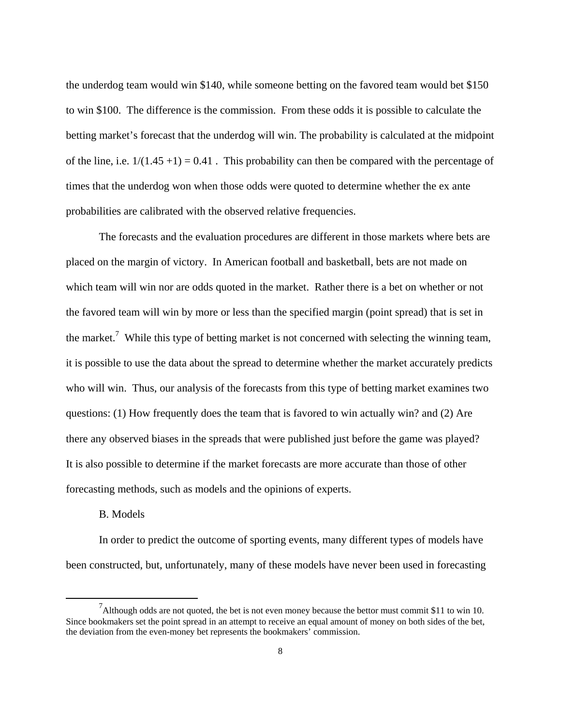the underdog team would win \$140, while someone betting on the favored team would bet \$150 to win \$100. The difference is the commission. From these odds it is possible to calculate the betting market's forecast that the underdog will win. The probability is calculated at the midpoint of the line, i.e.  $1/(1.45 + 1) = 0.41$ . This probability can then be compared with the percentage of times that the underdog won when those odds were quoted to determine whether the ex ante probabilities are calibrated with the observed relative frequencies.

 The forecasts and the evaluation procedures are different in those markets where bets are placed on the margin of victory. In American football and basketball, bets are not made on which team will win nor are odds quoted in the market. Rather there is a bet on whether or not the favored team will win by more or less than the specified margin (point spread) that is set in the market.<sup>7</sup> While this type of betting market is not concerned with selecting the winning team, it is possible to use the data about the spread to determine whether the market accurately predicts who will win. Thus, our analysis of the forecasts from this type of betting market examines two questions: (1) How frequently does the team that is favored to win actually win? and (2) Are there any observed biases in the spreads that were published just before the game was played? It is also possible to determine if the market forecasts are more accurate than those of other forecasting methods, such as models and the opinions of experts.

#### B. Models

 In order to predict the outcome of sporting events, many different types of models have been constructed, but, unfortunately, many of these models have never been used in forecasting

 $\frac{1}{7}$ <sup>7</sup>Although odds are not quoted, the bet is not even money because the bettor must commit \$11 to win 10. Since bookmakers set the point spread in an attempt to receive an equal amount of money on both sides of the bet, the deviation from the even-money bet represents the bookmakers' commission.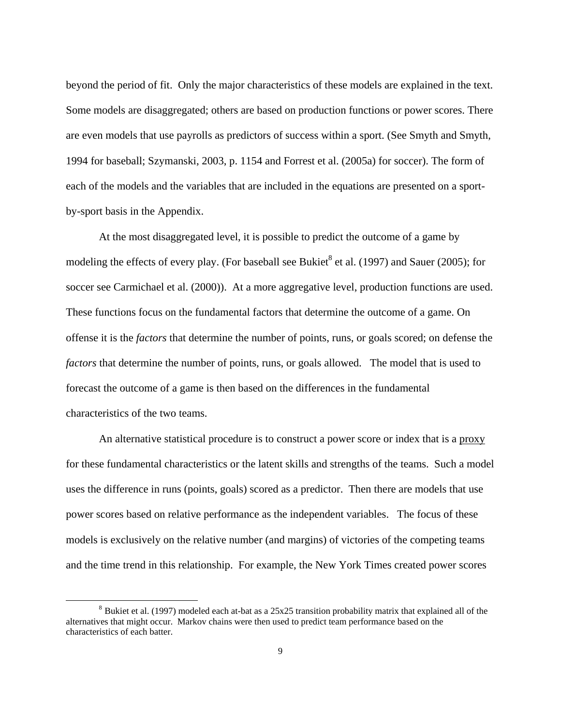beyond the period of fit. Only the major characteristics of these models are explained in the text. Some models are disaggregated; others are based on production functions or power scores. There are even models that use payrolls as predictors of success within a sport. (See Smyth and Smyth, 1994 for baseball; Szymanski, 2003, p. 1154 and Forrest et al. (2005a) for soccer). The form of each of the models and the variables that are included in the equations are presented on a sportby-sport basis in the Appendix.

At the most disaggregated level, it is possible to predict the outcome of a game by modeling the effects of every play. (For baseball see Bukiet<sup>8</sup> et al. (1997) and Sauer (2005); for soccer see Carmichael et al. (2000)). At a more aggregative level, production functions are used. These functions focus on the fundamental factors that determine the outcome of a game. On offense it is the *factors* that determine the number of points, runs, or goals scored; on defense the *factors* that determine the number of points, runs, or goals allowed. The model that is used to forecast the outcome of a game is then based on the differences in the fundamental characteristics of the two teams.

 An alternative statistical procedure is to construct a power score or index that is a proxy for these fundamental characteristics or the latent skills and strengths of the teams. Such a model uses the difference in runs (points, goals) scored as a predictor. Then there are models that use power scores based on relative performance as the independent variables. The focus of these models is exclusively on the relative number (and margins) of victories of the competing teams and the time trend in this relationship. For example, the New York Times created power scores

<sup>&</sup>lt;sup>8</sup> Bukiet et al. (1997) modeled each at-bat as a 25x25 transition probability matrix that explained all of the alternatives that might occur. Markov chains were then used to predict team performance based on the characteristics of each batter.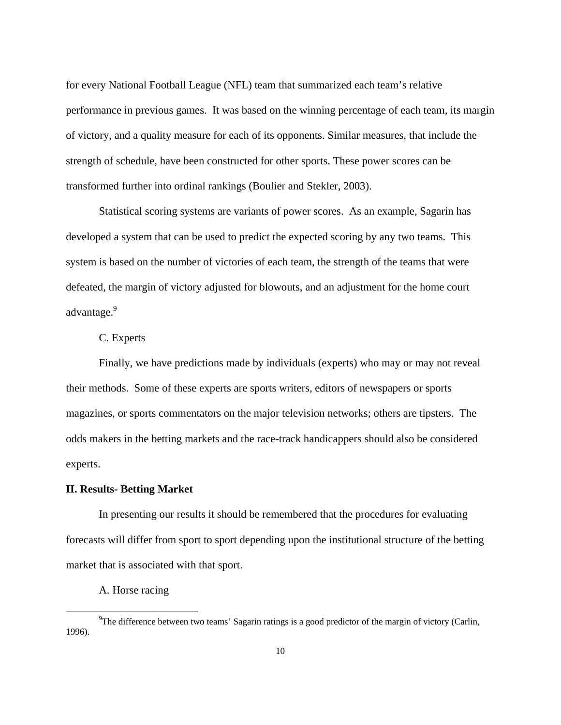for every National Football League (NFL) team that summarized each team's relative performance in previous games. It was based on the winning percentage of each team, its margin of victory, and a quality measure for each of its opponents. Similar measures, that include the strength of schedule, have been constructed for other sports. These power scores can be transformed further into ordinal rankings (Boulier and Stekler, 2003).

 Statistical scoring systems are variants of power scores. As an example, Sagarin has developed a system that can be used to predict the expected scoring by any two teams. This system is based on the number of victories of each team, the strength of the teams that were defeated, the margin of victory adjusted for blowouts, and an adjustment for the home court advantage.<sup>9</sup>

#### C. Experts

 Finally, we have predictions made by individuals (experts) who may or may not reveal their methods. Some of these experts are sports writers, editors of newspapers or sports magazines, or sports commentators on the major television networks; others are tipsters. The odds makers in the betting markets and the race-track handicappers should also be considered experts.

#### **II. Results- Betting Market**

In presenting our results it should be remembered that the procedures for evaluating forecasts will differ from sport to sport depending upon the institutional structure of the betting market that is associated with that sport.

A. Horse racing

 $\frac{1}{9}$ <sup>9</sup>The difference between two teams' Sagarin ratings is a good predictor of the margin of victory (Carlin, 1996).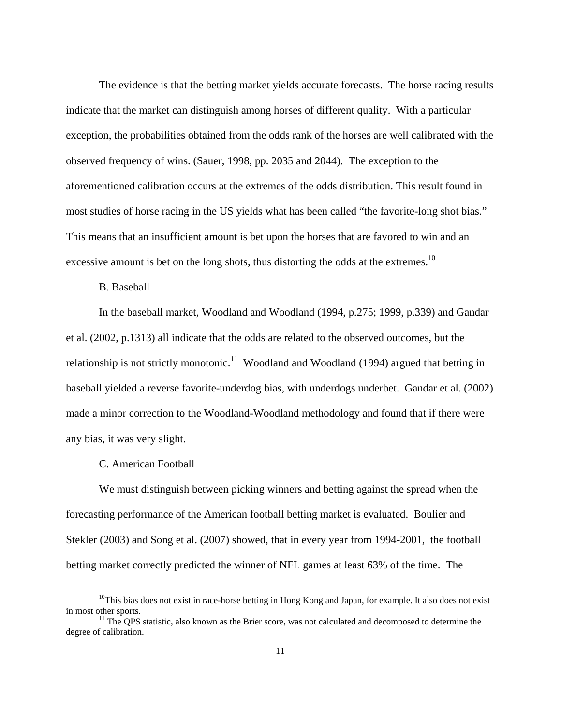The evidence is that the betting market yields accurate forecasts. The horse racing results indicate that the market can distinguish among horses of different quality. With a particular exception, the probabilities obtained from the odds rank of the horses are well calibrated with the observed frequency of wins. (Sauer, 1998, pp. 2035 and 2044). The exception to the aforementioned calibration occurs at the extremes of the odds distribution. This result found in most studies of horse racing in the US yields what has been called "the favorite-long shot bias." This means that an insufficient amount is bet upon the horses that are favored to win and an excessive amount is bet on the long shots, thus distorting the odds at the extremes.<sup>10</sup>

#### B. Baseball

In the baseball market, Woodland and Woodland (1994, p.275; 1999, p.339) and Gandar et al. (2002, p.1313) all indicate that the odds are related to the observed outcomes, but the relationship is not strictly monotonic.<sup>11</sup> Woodland and Woodland (1994) argued that betting in baseball yielded a reverse favorite-underdog bias, with underdogs underbet. Gandar et al. (2002) made a minor correction to the Woodland-Woodland methodology and found that if there were any bias, it was very slight.

#### C. American Football

 We must distinguish between picking winners and betting against the spread when the forecasting performance of the American football betting market is evaluated. Boulier and Stekler (2003) and Song et al. (2007) showed, that in every year from 1994-2001, the football betting market correctly predicted the winner of NFL games at least 63% of the time. The

 $10$ This bias does not exist in race-horse betting in Hong Kong and Japan, for example. It also does not exist in most other sports.<br><sup>11</sup> The QPS statistic, also known as the Brier score, was not calculated and decomposed to determine the

degree of calibration.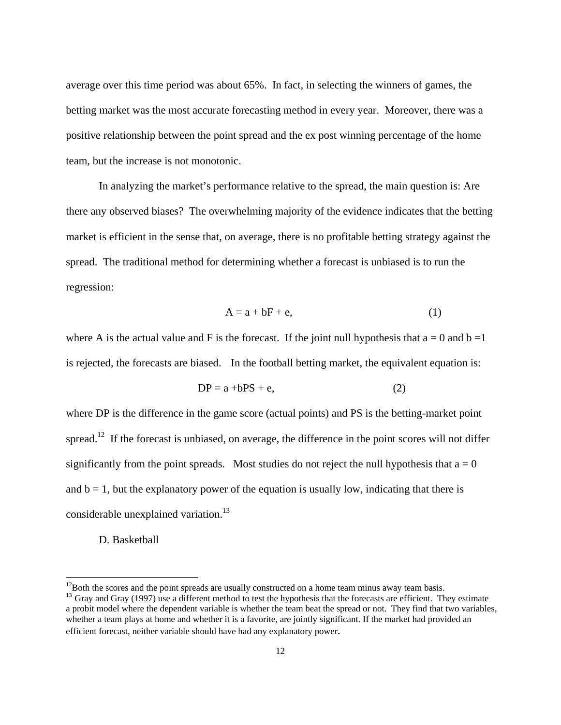average over this time period was about 65%. In fact, in selecting the winners of games, the betting market was the most accurate forecasting method in every year. Moreover, there was a positive relationship between the point spread and the ex post winning percentage of the home team, but the increase is not monotonic.

 In analyzing the market's performance relative to the spread, the main question is: Are there any observed biases? The overwhelming majority of the evidence indicates that the betting market is efficient in the sense that, on average, there is no profitable betting strategy against the spread. The traditional method for determining whether a forecast is unbiased is to run the regression:

$$
A = a + bF + e,
$$
 (1)

where A is the actual value and F is the forecast. If the joint null hypothesis that  $a = 0$  and  $b = 1$ is rejected, the forecasts are biased. In the football betting market, the equivalent equation is:

$$
DP = a + bPS + e,
$$
 (2)

where DP is the difference in the game score (actual points) and PS is the betting-market point spread.<sup>12</sup> If the forecast is unbiased, on average, the difference in the point scores will not differ significantly from the point spreads. Most studies do not reject the null hypothesis that  $a = 0$ and  $b = 1$ , but the explanatory power of the equation is usually low, indicating that there is considerable unexplained variation.<sup>13</sup>

D. Basketball

 $\overline{a}$ 

 $12$ Both the scores and the point spreads are usually constructed on a home team minus away team basis.

 $<sup>13</sup>$  Gray and Gray (1997) use a different method to test the hypothesis that the forecasts are efficient. They estimate</sup> a probit model where the dependent variable is whether the team beat the spread or not. They find that two variables, whether a team plays at home and whether it is a favorite, are jointly significant. If the market had provided an efficient forecast, neither variable should have had any explanatory power.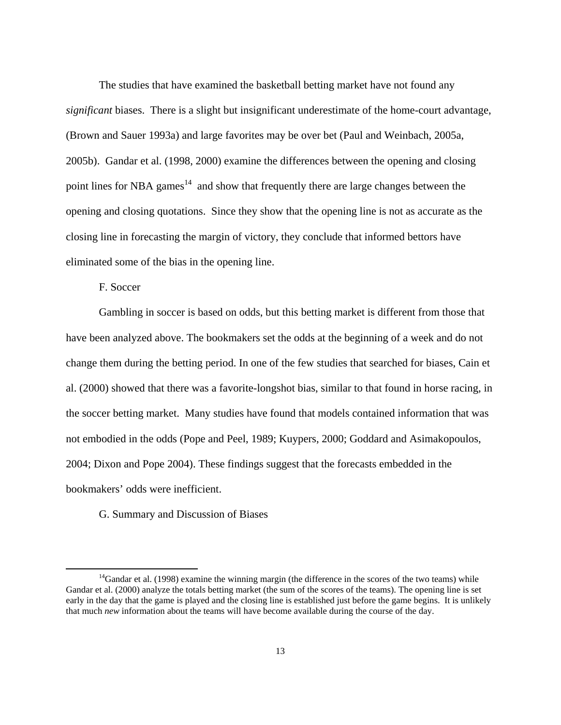The studies that have examined the basketball betting market have not found any *significant* biases. There is a slight but insignificant underestimate of the home-court advantage, (Brown and Sauer 1993a) and large favorites may be over bet (Paul and Weinbach, 2005a, 2005b). Gandar et al. (1998, 2000) examine the differences between the opening and closing point lines for NBA games<sup>14</sup> and show that frequently there are large changes between the opening and closing quotations. Since they show that the opening line is not as accurate as the closing line in forecasting the margin of victory, they conclude that informed bettors have eliminated some of the bias in the opening line.

F. Soccer

 Gambling in soccer is based on odds, but this betting market is different from those that have been analyzed above. The bookmakers set the odds at the beginning of a week and do not change them during the betting period. In one of the few studies that searched for biases, Cain et al. (2000) showed that there was a favorite-longshot bias, similar to that found in horse racing, in the soccer betting market. Many studies have found that models contained information that was not embodied in the odds (Pope and Peel, 1989; Kuypers, 2000; Goddard and Asimakopoulos, 2004; Dixon and Pope 2004). These findings suggest that the forecasts embedded in the bookmakers' odds were inefficient.

G. Summary and Discussion of Biases

 $14$ Gandar et al. (1998) examine the winning margin (the difference in the scores of the two teams) while Gandar et al. (2000) analyze the totals betting market (the sum of the scores of the teams). The opening line is set early in the day that the game is played and the closing line is established just before the game begins. It is unlikely that much *new* information about the teams will have become available during the course of the day.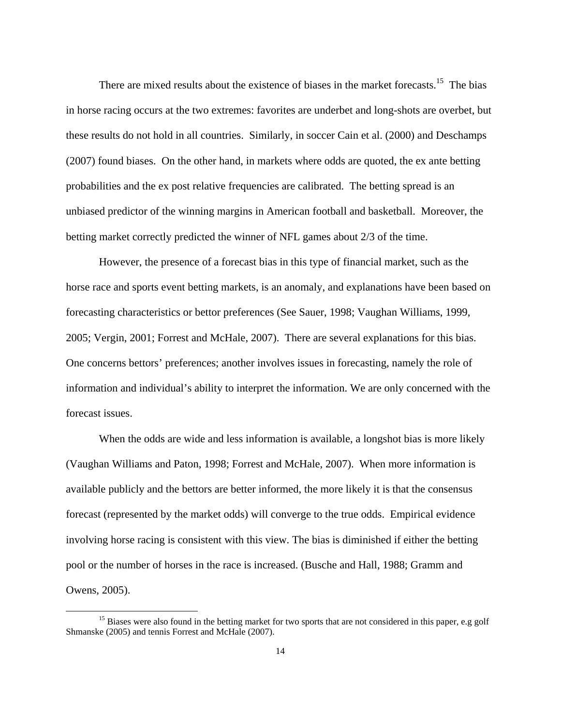There are mixed results about the existence of biases in the market forecasts.<sup>15</sup> The bias in horse racing occurs at the two extremes: favorites are underbet and long-shots are overbet, but these results do not hold in all countries. Similarly, in soccer Cain et al. (2000) and Deschamps (2007) found biases. On the other hand, in markets where odds are quoted, the ex ante betting probabilities and the ex post relative frequencies are calibrated. The betting spread is an unbiased predictor of the winning margins in American football and basketball. Moreover, the betting market correctly predicted the winner of NFL games about 2/3 of the time.

 However, the presence of a forecast bias in this type of financial market, such as the horse race and sports event betting markets, is an anomaly, and explanations have been based on forecasting characteristics or bettor preferences (See Sauer, 1998; Vaughan Williams, 1999, 2005; Vergin, 2001; Forrest and McHale, 2007). There are several explanations for this bias. One concerns bettors' preferences; another involves issues in forecasting, namely the role of information and individual's ability to interpret the information. We are only concerned with the forecast issues.

When the odds are wide and less information is available, a longshot bias is more likely (Vaughan Williams and Paton, 1998; Forrest and McHale, 2007). When more information is available publicly and the bettors are better informed, the more likely it is that the consensus forecast (represented by the market odds) will converge to the true odds. Empirical evidence involving horse racing is consistent with this view. The bias is diminished if either the betting pool or the number of horses in the race is increased. (Busche and Hall, 1988; Gramm and Owens, 2005).

<sup>&</sup>lt;sup>15</sup> Biases were also found in the betting market for two sports that are not considered in this paper, e.g golf Shmanske (2005) and tennis Forrest and McHale (2007).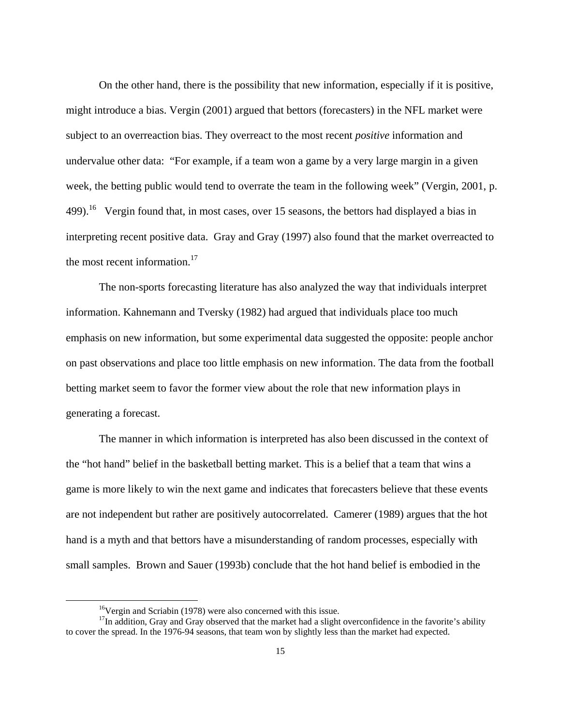On the other hand, there is the possibility that new information, especially if it is positive, might introduce a bias. Vergin (2001) argued that bettors (forecasters) in the NFL market were subject to an overreaction bias. They overreact to the most recent *positive* information and undervalue other data: "For example, if a team won a game by a very large margin in a given week, the betting public would tend to overrate the team in the following week" (Vergin, 2001, p. 499).<sup>16</sup> Vergin found that, in most cases, over 15 seasons, the bettors had displayed a bias in interpreting recent positive data. Gray and Gray (1997) also found that the market overreacted to the most recent information.<sup>17</sup>

 The non-sports forecasting literature has also analyzed the way that individuals interpret information. Kahnemann and Tversky (1982) had argued that individuals place too much emphasis on new information, but some experimental data suggested the opposite: people anchor on past observations and place too little emphasis on new information. The data from the football betting market seem to favor the former view about the role that new information plays in generating a forecast.

 The manner in which information is interpreted has also been discussed in the context of the "hot hand" belief in the basketball betting market. This is a belief that a team that wins a game is more likely to win the next game and indicates that forecasters believe that these events are not independent but rather are positively autocorrelated. Camerer (1989) argues that the hot hand is a myth and that bettors have a misunderstanding of random processes, especially with small samples. Brown and Sauer (1993b) conclude that the hot hand belief is embodied in the

<sup>&</sup>lt;sup>16</sup>Vergin and Scriabin (1978) were also concerned with this issue.

<sup>&</sup>lt;sup>17</sup>In addition, Gray and Gray observed that the market had a slight overconfidence in the favorite's ability to cover the spread. In the 1976-94 seasons, that team won by slightly less than the market had expected.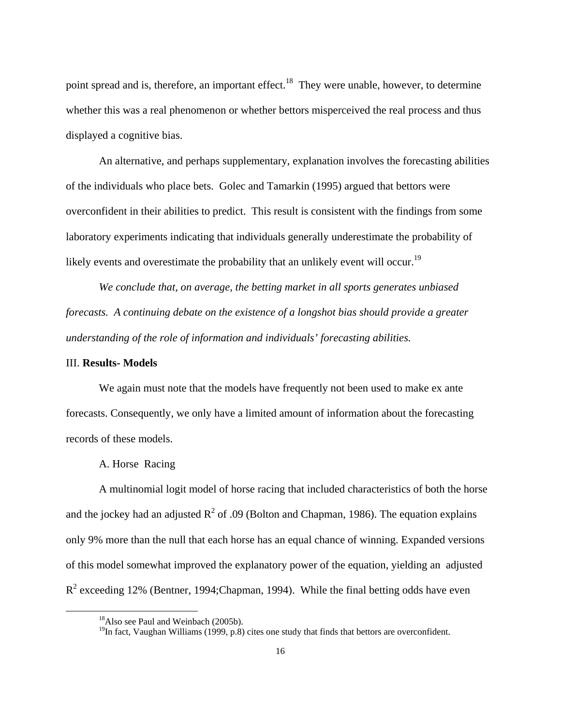point spread and is, therefore, an important effect.<sup>18</sup> They were unable, however, to determine whether this was a real phenomenon or whether bettors misperceived the real process and thus displayed a cognitive bias.

An alternative, and perhaps supplementary, explanation involves the forecasting abilities of the individuals who place bets. Golec and Tamarkin (1995) argued that bettors were overconfident in their abilities to predict. This result is consistent with the findings from some laboratory experiments indicating that individuals generally underestimate the probability of likely events and overestimate the probability that an unlikely event will occur.<sup>19</sup>

*We conclude that, on average, the betting market in all sports generates unbiased forecasts. A continuing debate on the existence of a longshot bias should provide a greater understanding of the role of information and individuals' forecasting abilities.*

#### III. **Results- Models**

We again must note that the models have frequently not been used to make ex ante forecasts. Consequently, we only have a limited amount of information about the forecasting records of these models.

#### A. Horse Racing

 A multinomial logit model of horse racing that included characteristics of both the horse and the jockey had an adjusted  $R^2$  of .09 (Bolton and Chapman, 1986). The equation explains only 9% more than the null that each horse has an equal chance of winning. Expanded versions of this model somewhat improved the explanatory power of the equation, yielding an adjusted  $R^2$  exceeding 12% (Bentner, 1994;Chapman, 1994). While the final betting odds have even

<sup>&</sup>lt;sup>18</sup>Also see Paul and Weinbach (2005b).

 $<sup>19</sup>$ In fact, Vaughan Williams (1999, p.8) cites one study that finds that bettors are overconfident.</sup>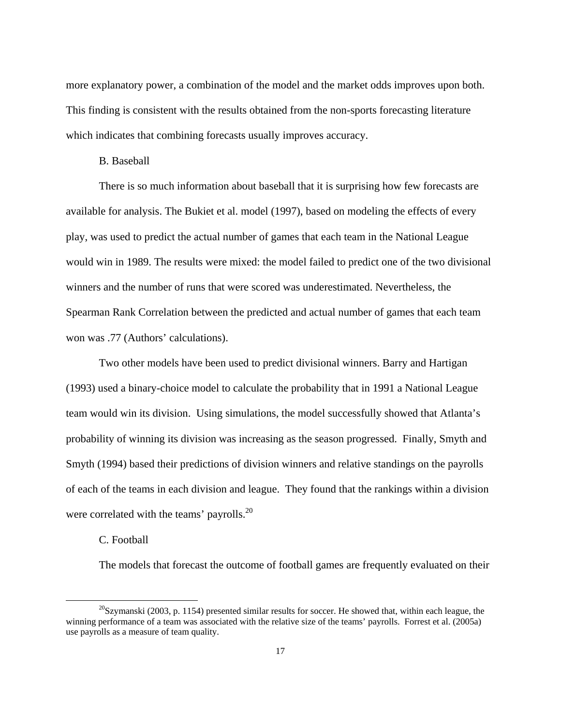more explanatory power, a combination of the model and the market odds improves upon both. This finding is consistent with the results obtained from the non-sports forecasting literature which indicates that combining forecasts usually improves accuracy.

#### B. Baseball

 There is so much information about baseball that it is surprising how few forecasts are available for analysis. The Bukiet et al. model (1997), based on modeling the effects of every play, was used to predict the actual number of games that each team in the National League would win in 1989. The results were mixed: the model failed to predict one of the two divisional winners and the number of runs that were scored was underestimated. Nevertheless, the Spearman Rank Correlation between the predicted and actual number of games that each team won was .77 (Authors' calculations).

 Two other models have been used to predict divisional winners. Barry and Hartigan (1993) used a binary-choice model to calculate the probability that in 1991 a National League team would win its division. Using simulations, the model successfully showed that Atlanta's probability of winning its division was increasing as the season progressed. Finally, Smyth and Smyth (1994) based their predictions of division winners and relative standings on the payrolls of each of the teams in each division and league. They found that the rankings within a division were correlated with the teams' payrolls.<sup>20</sup>

#### C. Football

The models that forecast the outcome of football games are frequently evaluated on their

 $^{20}$ Szymanski (2003, p. 1154) presented similar results for soccer. He showed that, within each league, the winning performance of a team was associated with the relative size of the teams' payrolls. Forrest et al. (2005a) use payrolls as a measure of team quality.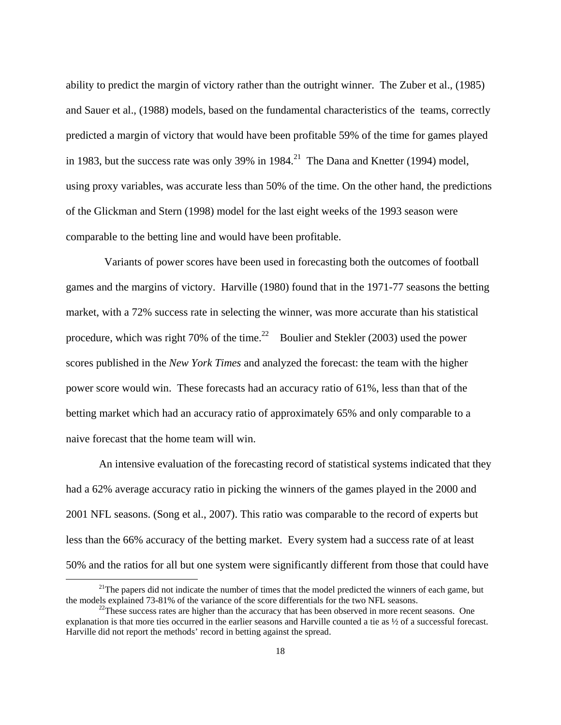ability to predict the margin of victory rather than the outright winner. The Zuber et al., (1985) and Sauer et al., (1988) models, based on the fundamental characteristics of the teams, correctly predicted a margin of victory that would have been profitable 59% of the time for games played in 1983, but the success rate was only 39% in  $1984$ <sup>21</sup> The Dana and Knetter (1994) model, using proxy variables, was accurate less than 50% of the time. On the other hand, the predictions of the Glickman and Stern (1998) model for the last eight weeks of the 1993 season were comparable to the betting line and would have been profitable.

 Variants of power scores have been used in forecasting both the outcomes of football games and the margins of victory. Harville (1980) found that in the 1971-77 seasons the betting market, with a 72% success rate in selecting the winner, was more accurate than his statistical procedure, which was right 70% of the time.<sup>22</sup> Boulier and Stekler (2003) used the power scores published in the *New York Times* and analyzed the forecast: the team with the higher power score would win. These forecasts had an accuracy ratio of 61%, less than that of the betting market which had an accuracy ratio of approximately 65% and only comparable to a naive forecast that the home team will win.

 An intensive evaluation of the forecasting record of statistical systems indicated that they had a 62% average accuracy ratio in picking the winners of the games played in the 2000 and 2001 NFL seasons. (Song et al., 2007). This ratio was comparable to the record of experts but less than the 66% accuracy of the betting market. Every system had a success rate of at least 50% and the ratios for all but one system were significantly different from those that could have

<sup>&</sup>lt;sup>21</sup>The papers did not indicate the number of times that the model predicted the winners of each game, but the models explained 73-81% of the variance of the score differentials for the two NFL seasons.<br><sup>22</sup>These success rates are higher than the accuracy that has been observed in more recent seasons. One

explanation is that more ties occurred in the earlier seasons and Harville counted a tie as ½ of a successful forecast. Harville did not report the methods' record in betting against the spread.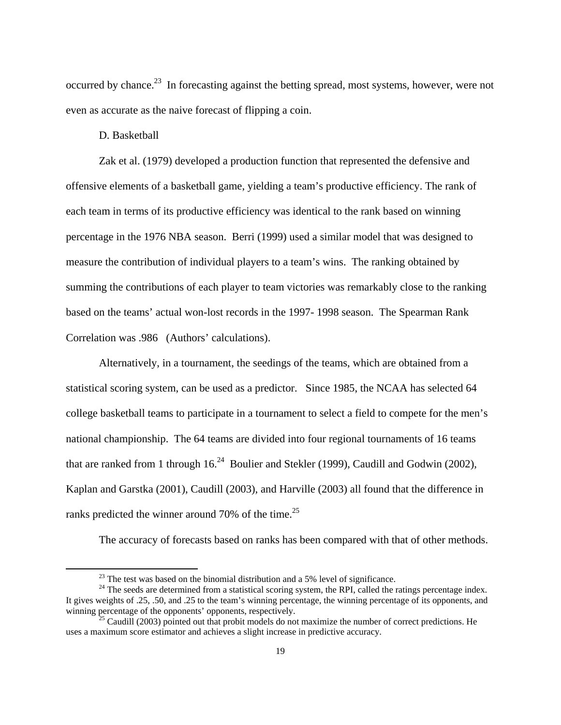occurred by chance.<sup>23</sup> In forecasting against the betting spread, most systems, however, were not even as accurate as the naive forecast of flipping a coin.

D. Basketball

Zak et al. (1979) developed a production function that represented the defensive and offensive elements of a basketball game, yielding a team's productive efficiency. The rank of each team in terms of its productive efficiency was identical to the rank based on winning percentage in the 1976 NBA season. Berri (1999) used a similar model that was designed to measure the contribution of individual players to a team's wins. The ranking obtained by summing the contributions of each player to team victories was remarkably close to the ranking based on the teams' actual won-lost records in the 1997- 1998 season. The Spearman Rank Correlation was .986 (Authors' calculations).

 Alternatively, in a tournament, the seedings of the teams, which are obtained from a statistical scoring system, can be used as a predictor. Since 1985, the NCAA has selected 64 college basketball teams to participate in a tournament to select a field to compete for the men's national championship. The 64 teams are divided into four regional tournaments of 16 teams that are ranked from 1 through  $16<sup>24</sup>$  Boulier and Stekler (1999), Caudill and Godwin (2002), Kaplan and Garstka (2001), Caudill (2003), and Harville (2003) all found that the difference in ranks predicted the winner around 70% of the time.<sup>25</sup>

The accuracy of forecasts based on ranks has been compared with that of other methods.

 $^{23}$  The test was based on the binomial distribution and a 5% level of significance.

<sup>&</sup>lt;sup>24</sup> The seeds are determined from a statistical scoring system, the RPI, called the ratings percentage index. It gives weights of .25, .50, and .25 to the team's winning percentage, the winning percentage of its opponents, and winning percentage of the opponents' opponents, respectively.<br><sup>25</sup> Caudill (2003) pointed out that probit models do not maximize the number of correct predictions. He

uses a maximum score estimator and achieves a slight increase in predictive accuracy.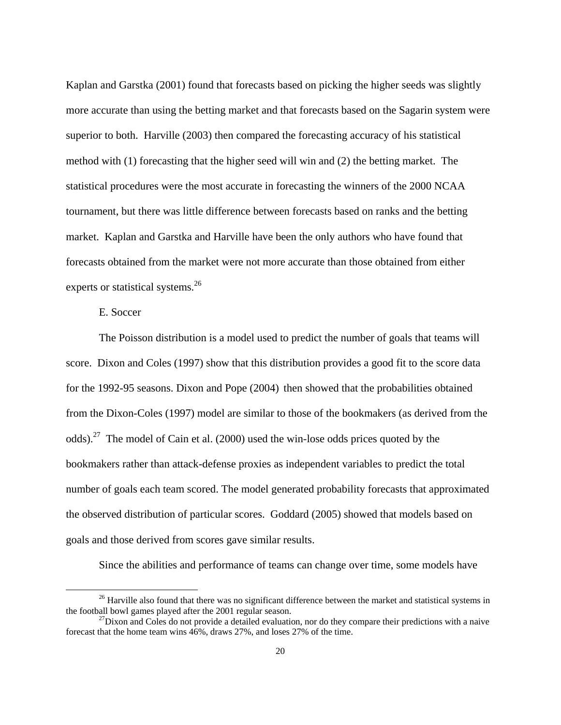Kaplan and Garstka (2001) found that forecasts based on picking the higher seeds was slightly more accurate than using the betting market and that forecasts based on the Sagarin system were superior to both. Harville (2003) then compared the forecasting accuracy of his statistical method with (1) forecasting that the higher seed will win and (2) the betting market. The statistical procedures were the most accurate in forecasting the winners of the 2000 NCAA tournament, but there was little difference between forecasts based on ranks and the betting market. Kaplan and Garstka and Harville have been the only authors who have found that forecasts obtained from the market were not more accurate than those obtained from either experts or statistical systems.<sup>26</sup>

#### E. Soccer

 The Poisson distribution is a model used to predict the number of goals that teams will score. Dixon and Coles (1997) show that this distribution provides a good fit to the score data for the 1992-95 seasons. Dixon and Pope (2004) then showed that the probabilities obtained from the Dixon-Coles (1997) model are similar to those of the bookmakers (as derived from the odds).27 The model of Cain et al. (2000) used the win-lose odds prices quoted by the bookmakers rather than attack-defense proxies as independent variables to predict the total number of goals each team scored. The model generated probability forecasts that approximated the observed distribution of particular scores. Goddard (2005) showed that models based on goals and those derived from scores gave similar results.

Since the abilities and performance of teams can change over time, some models have

 $^{26}$  Harville also found that there was no significant difference between the market and statistical systems in the football bowl games played after the 2001 regular season.

 $t^{27}$ Dixon and Coles do not provide a detailed evaluation, nor do they compare their predictions with a naive forecast that the home team wins 46%, draws 27%, and loses 27% of the time.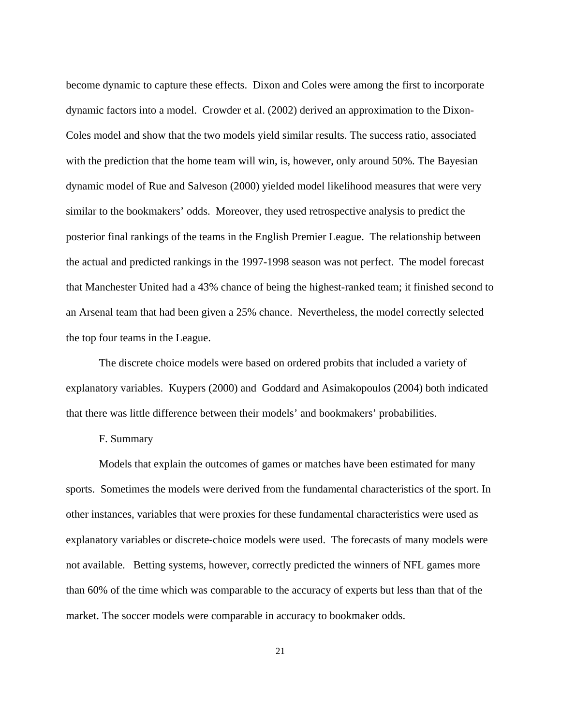become dynamic to capture these effects. Dixon and Coles were among the first to incorporate dynamic factors into a model. Crowder et al. (2002) derived an approximation to the Dixon-Coles model and show that the two models yield similar results. The success ratio, associated with the prediction that the home team will win, is, however, only around 50%. The Bayesian dynamic model of Rue and Salveson (2000) yielded model likelihood measures that were very similar to the bookmakers' odds. Moreover, they used retrospective analysis to predict the posterior final rankings of the teams in the English Premier League. The relationship between the actual and predicted rankings in the 1997-1998 season was not perfect. The model forecast that Manchester United had a 43% chance of being the highest-ranked team; it finished second to an Arsenal team that had been given a 25% chance. Nevertheless, the model correctly selected the top four teams in the League.

 The discrete choice models were based on ordered probits that included a variety of explanatory variables. Kuypers (2000) and Goddard and Asimakopoulos (2004) both indicated that there was little difference between their models' and bookmakers' probabilities.

#### F. Summary

 Models that explain the outcomes of games or matches have been estimated for many sports. Sometimes the models were derived from the fundamental characteristics of the sport. In other instances, variables that were proxies for these fundamental characteristics were used as explanatory variables or discrete-choice models were used. The forecasts of many models were not available. Betting systems, however, correctly predicted the winners of NFL games more than 60% of the time which was comparable to the accuracy of experts but less than that of the market. The soccer models were comparable in accuracy to bookmaker odds.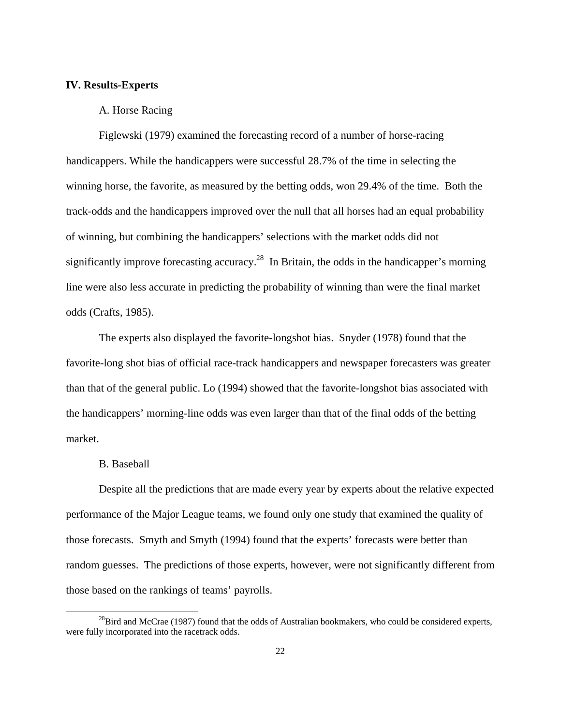#### **IV. Results-Experts**

#### A. Horse Racing

Figlewski (1979) examined the forecasting record of a number of horse-racing handicappers. While the handicappers were successful 28.7% of the time in selecting the winning horse, the favorite, as measured by the betting odds, won 29.4% of the time. Both the track-odds and the handicappers improved over the null that all horses had an equal probability of winning, but combining the handicappers' selections with the market odds did not significantly improve forecasting accuracy.<sup>28</sup> In Britain, the odds in the handicapper's morning line were also less accurate in predicting the probability of winning than were the final market odds (Crafts, 1985).

 The experts also displayed the favorite-longshot bias. Snyder (1978) found that the favorite-long shot bias of official race-track handicappers and newspaper forecasters was greater than that of the general public. Lo (1994) showed that the favorite-longshot bias associated with the handicappers' morning-line odds was even larger than that of the final odds of the betting market.

#### B. Baseball

 Despite all the predictions that are made every year by experts about the relative expected performance of the Major League teams, we found only one study that examined the quality of those forecasts. Smyth and Smyth (1994) found that the experts' forecasts were better than random guesses. The predictions of those experts, however, were not significantly different from those based on the rankings of teams' payrolls.

 $^{28}$ Bird and McCrae (1987) found that the odds of Australian bookmakers, who could be considered experts, were fully incorporated into the racetrack odds.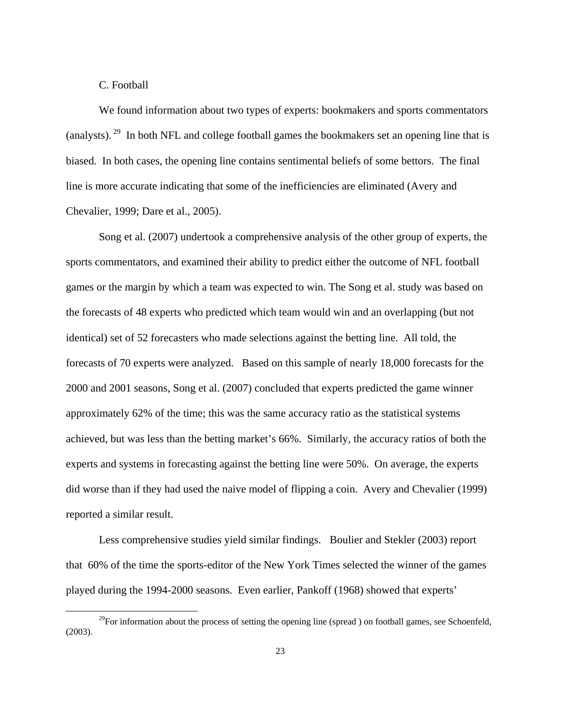#### C. Football

We found information about two types of experts: bookmakers and sports commentators (analysts). 29 In both NFL and college football games the bookmakers set an opening line that is biased. In both cases, the opening line contains sentimental beliefs of some bettors. The final line is more accurate indicating that some of the inefficiencies are eliminated (Avery and Chevalier, 1999; Dare et al., 2005).

 Song et al. (2007) undertook a comprehensive analysis of the other group of experts, the sports commentators, and examined their ability to predict either the outcome of NFL football games or the margin by which a team was expected to win. The Song et al. study was based on the forecasts of 48 experts who predicted which team would win and an overlapping (but not identical) set of 52 forecasters who made selections against the betting line. All told, the forecasts of 70 experts were analyzed. Based on this sample of nearly 18,000 forecasts for the 2000 and 2001 seasons, Song et al. (2007) concluded that experts predicted the game winner approximately 62% of the time; this was the same accuracy ratio as the statistical systems achieved, but was less than the betting market's 66%. Similarly, the accuracy ratios of both the experts and systems in forecasting against the betting line were 50%. On average, the experts did worse than if they had used the naive model of flipping a coin. Avery and Chevalier (1999) reported a similar result.

 Less comprehensive studies yield similar findings. Boulier and Stekler (2003) report that 60% of the time the sports-editor of the New York Times selected the winner of the games played during the 1994-2000 seasons. Even earlier, Pankoff (1968) showed that experts'

<sup>&</sup>lt;sup>29</sup>For information about the process of setting the opening line (spread) on football games, see Schoenfeld, (2003).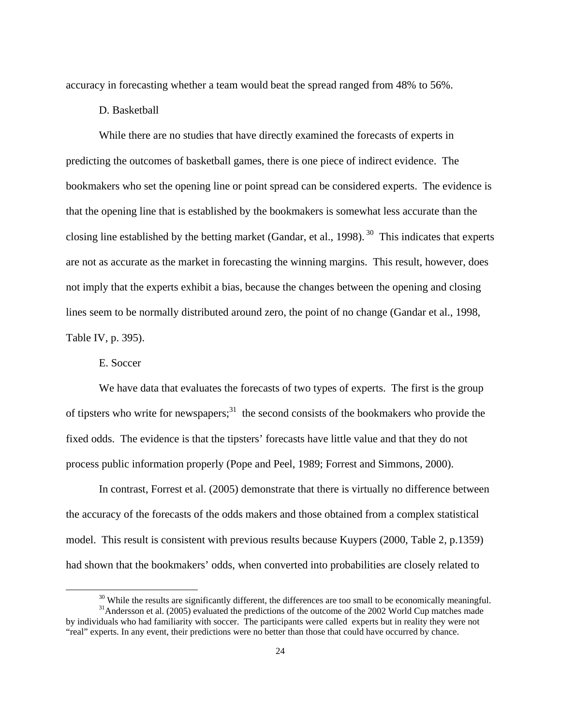accuracy in forecasting whether a team would beat the spread ranged from 48% to 56%.

#### D. Basketball

 While there are no studies that have directly examined the forecasts of experts in predicting the outcomes of basketball games, there is one piece of indirect evidence. The bookmakers who set the opening line or point spread can be considered experts. The evidence is that the opening line that is established by the bookmakers is somewhat less accurate than the closing line established by the betting market (Gandar, et al., 1998).  $30$  This indicates that experts are not as accurate as the market in forecasting the winning margins. This result, however, does not imply that the experts exhibit a bias, because the changes between the opening and closing lines seem to be normally distributed around zero, the point of no change (Gandar et al., 1998, Table IV, p. 395).

E. Soccer

We have data that evaluates the forecasts of two types of experts. The first is the group of tipsters who write for newspapers; $31$  the second consists of the bookmakers who provide the fixed odds. The evidence is that the tipsters' forecasts have little value and that they do not process public information properly (Pope and Peel, 1989; Forrest and Simmons, 2000).

 In contrast, Forrest et al. (2005) demonstrate that there is virtually no difference between the accuracy of the forecasts of the odds makers and those obtained from a complex statistical model. This result is consistent with previous results because Kuypers (2000, Table 2, p.1359) had shown that the bookmakers' odds, when converted into probabilities are closely related to

<sup>&</sup>lt;sup>30</sup> While the results are significantly different, the differences are too small to be economically meaningful.<br><sup>31</sup>Andersson et al. (2005) evaluated the predictions of the outcome of the 2002 World Cup matches made

by individuals who had familiarity with soccer. The participants were called experts but in reality they were not "real" experts. In any event, their predictions were no better than those that could have occurred by chance.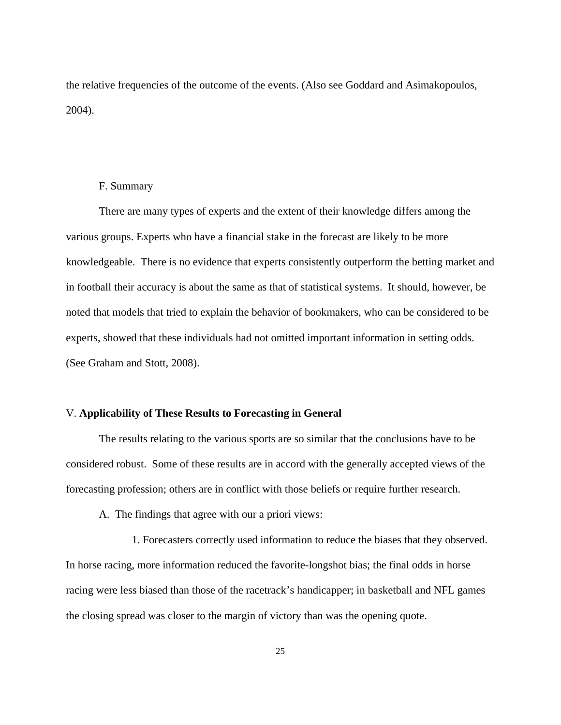the relative frequencies of the outcome of the events. (Also see Goddard and Asimakopoulos, 2004).

#### F. Summary

 There are many types of experts and the extent of their knowledge differs among the various groups. Experts who have a financial stake in the forecast are likely to be more knowledgeable. There is no evidence that experts consistently outperform the betting market and in football their accuracy is about the same as that of statistical systems. It should, however, be noted that models that tried to explain the behavior of bookmakers, who can be considered to be experts, showed that these individuals had not omitted important information in setting odds. (See Graham and Stott, 2008).

#### V. **Applicability of These Results to Forecasting in General**

The results relating to the various sports are so similar that the conclusions have to be considered robust. Some of these results are in accord with the generally accepted views of the forecasting profession; others are in conflict with those beliefs or require further research.

A. The findings that agree with our a priori views:

 1. Forecasters correctly used information to reduce the biases that they observed. In horse racing, more information reduced the favorite-longshot bias; the final odds in horse racing were less biased than those of the racetrack's handicapper; in basketball and NFL games the closing spread was closer to the margin of victory than was the opening quote.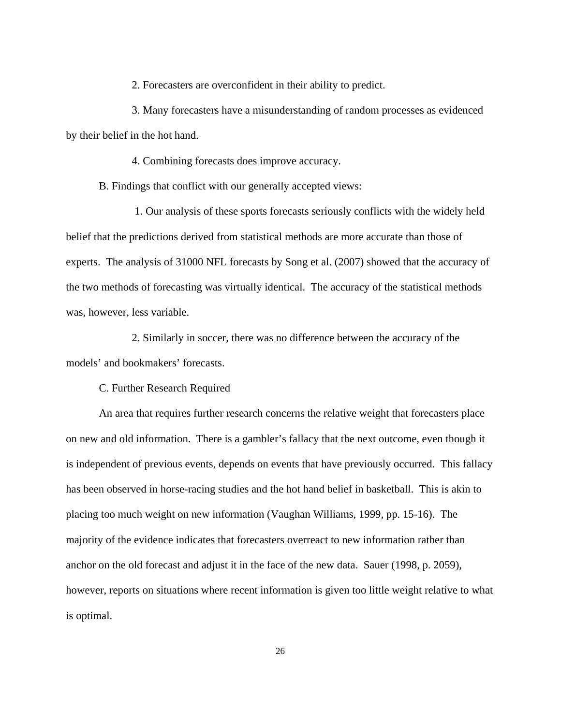2. Forecasters are overconfident in their ability to predict.

 3. Many forecasters have a misunderstanding of random processes as evidenced by their belief in the hot hand.

4. Combining forecasts does improve accuracy.

B. Findings that conflict with our generally accepted views:

 1. Our analysis of these sports forecasts seriously conflicts with the widely held belief that the predictions derived from statistical methods are more accurate than those of experts. The analysis of 31000 NFL forecasts by Song et al. (2007) showed that the accuracy of the two methods of forecasting was virtually identical. The accuracy of the statistical methods was, however, less variable.

 2. Similarly in soccer, there was no difference between the accuracy of the models' and bookmakers' forecasts.

C. Further Research Required

An area that requires further research concerns the relative weight that forecasters place on new and old information. There is a gambler's fallacy that the next outcome, even though it is independent of previous events, depends on events that have previously occurred. This fallacy has been observed in horse-racing studies and the hot hand belief in basketball. This is akin to placing too much weight on new information (Vaughan Williams, 1999, pp. 15-16). The majority of the evidence indicates that forecasters overreact to new information rather than anchor on the old forecast and adjust it in the face of the new data. Sauer (1998, p. 2059), however, reports on situations where recent information is given too little weight relative to what is optimal.

26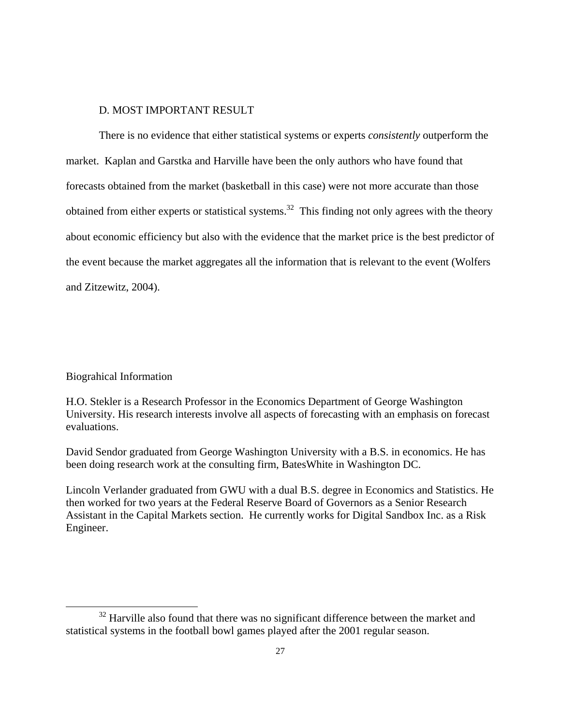#### D. MOST IMPORTANT RESULT

 There is no evidence that either statistical systems or experts *consistently* outperform the market. Kaplan and Garstka and Harville have been the only authors who have found that forecasts obtained from the market (basketball in this case) were not more accurate than those obtained from either experts or statistical systems.<sup>32</sup> This finding not only agrees with the theory about economic efficiency but also with the evidence that the market price is the best predictor of the event because the market aggregates all the information that is relevant to the event (Wolfers and Zitzewitz, 2004).

#### Biograhical Information

H.O. Stekler is a Research Professor in the Economics Department of George Washington University. His research interests involve all aspects of forecasting with an emphasis on forecast evaluations.

David Sendor graduated from George Washington University with a B.S. in economics. He has been doing research work at the consulting firm, BatesWhite in Washington DC.

Lincoln Verlander graduated from GWU with a dual B.S. degree in Economics and Statistics. He then worked for two years at the Federal Reserve Board of Governors as a Senior Research Assistant in the Capital Markets section. He currently works for Digital Sandbox Inc. as a Risk Engineer.

 $32$  Harville also found that there was no significant difference between the market and statistical systems in the football bowl games played after the 2001 regular season.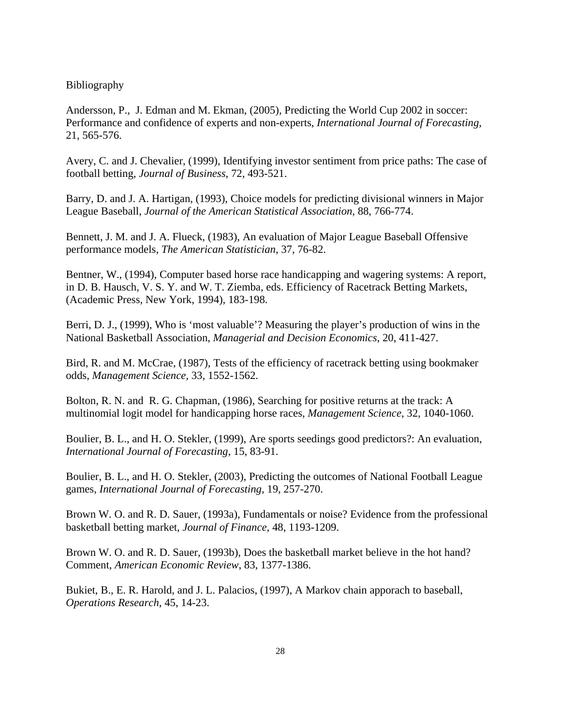#### Bibliography

Andersson, P., J. Edman and M. Ekman, (2005), Predicting the World Cup 2002 in soccer: Performance and confidence of experts and non-experts, *International Journal of Forecasting*, 21, 565-576.

Avery, C. and J. Chevalier, (1999), Identifying investor sentiment from price paths: The case of football betting, *Journal of Business*, 72, 493-521.

Barry, D. and J. A. Hartigan, (1993), Choice models for predicting divisional winners in Major League Baseball, *Journal of the American Statistical Association*, 88, 766-774.

Bennett, J. M. and J. A. Flueck, (1983), An evaluation of Major League Baseball Offensive performance models, *The American Statistician*, 37, 76-82.

Bentner, W., (1994), Computer based horse race handicapping and wagering systems: A report, in D. B. Hausch, V. S. Y. and W. T. Ziemba, eds. Efficiency of Racetrack Betting Markets, (Academic Press, New York, 1994), 183-198.

Berri, D. J., (1999), Who is 'most valuable'? Measuring the player's production of wins in the National Basketball Association, *Managerial and Decision Economics*, 20, 411-427.

Bird, R. and M. McCrae, (1987), Tests of the efficiency of racetrack betting using bookmaker odds, *Management Science,* 33, 1552-1562.

Bolton, R. N. and R. G. Chapman, (1986), Searching for positive returns at the track: A multinomial logit model for handicapping horse races, *Management Science*, 32, 1040-1060.

Boulier, B. L., and H. O. Stekler, (1999), Are sports seedings good predictors?: An evaluation, *International Journal of Forecasting*, 15, 83-91.

Boulier, B. L., and H. O. Stekler, (2003), Predicting the outcomes of National Football League games, *International Journal of Forecasting*, 19, 257-270.

Brown W. O. and R. D. Sauer, (1993a), Fundamentals or noise? Evidence from the professional basketball betting market, *Journal of Finance*, 48, 1193-1209.

Brown W. O. and R. D. Sauer, (1993b), Does the basketball market believe in the hot hand? Comment, *American Economic Review*, 83, 1377-1386.

Bukiet, B., E. R. Harold, and J. L. Palacios, (1997), A Markov chain apporach to baseball, *Operations Research*, 45, 14-23.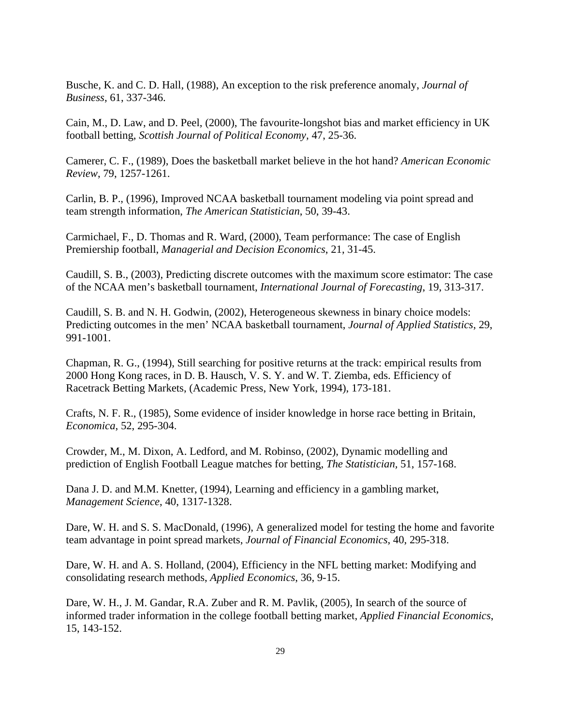Busche, K. and C. D. Hall, (1988), An exception to the risk preference anomaly, *Journal of Business*, 61, 337-346.

Cain, M., D. Law, and D. Peel, (2000), The favourite-longshot bias and market efficiency in UK football betting, *Scottish Journal of Political Economy,* 47, 25-36.

Camerer, C. F., (1989), Does the basketball market believe in the hot hand? *American Economic Review*, 79, 1257-1261.

Carlin, B. P., (1996), Improved NCAA basketball tournament modeling via point spread and team strength information, *The American Statistician*, 50, 39-43.

Carmichael, F., D. Thomas and R. Ward, (2000), Team performance: The case of English Premiership football, *Managerial and Decision Economics*, 21, 31-45.

Caudill, S. B., (2003), Predicting discrete outcomes with the maximum score estimator: The case of the NCAA men's basketball tournament, *International Journal of Forecasting*, 19, 313-317.

Caudill, S. B. and N. H. Godwin, (2002), Heterogeneous skewness in binary choice models: Predicting outcomes in the men' NCAA basketball tournament, *Journal of Applied Statistics*, 29, 991-1001.

Chapman, R. G., (1994), Still searching for positive returns at the track: empirical results from 2000 Hong Kong races, in D. B. Hausch, V. S. Y. and W. T. Ziemba, eds. Efficiency of Racetrack Betting Markets, (Academic Press, New York, 1994), 173-181.

Crafts, N. F. R., (1985), Some evidence of insider knowledge in horse race betting in Britain, *Economica*, 52, 295-304.

Crowder, M., M. Dixon, A. Ledford, and M. Robinso, (2002), Dynamic modelling and prediction of English Football League matches for betting, *The Statistician,* 51, 157-168.

Dana J. D. and M.M. Knetter, (1994), Learning and efficiency in a gambling market, *Management Science*, 40, 1317-1328.

Dare, W. H. and S. S. MacDonald, (1996), A generalized model for testing the home and favorite team advantage in point spread markets, *Journal of Financial Economics*, 40, 295-318.

Dare, W. H. and A. S. Holland, (2004), Efficiency in the NFL betting market: Modifying and consolidating research methods, *Applied Economics*, 36, 9-15.

Dare, W. H., J. M. Gandar, R.A. Zuber and R. M. Pavlik, (2005), In search of the source of informed trader information in the college football betting market, *Applied Financial Economics*, 15, 143-152.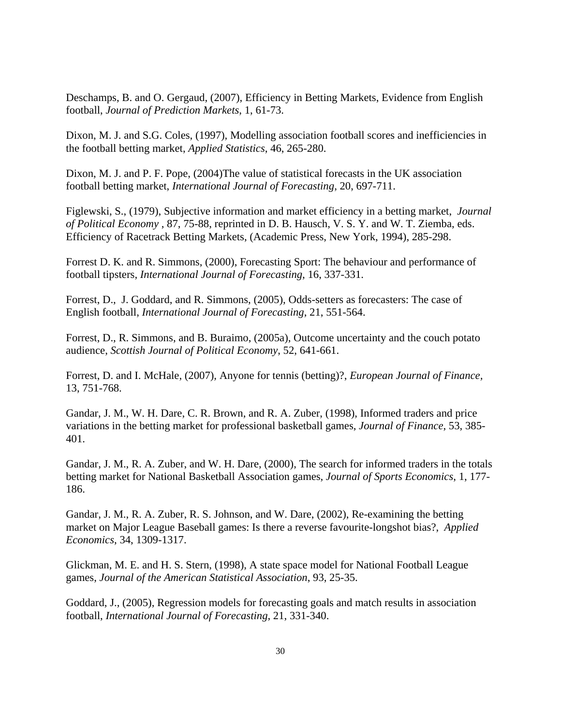Deschamps, B. and O. Gergaud, (2007), Efficiency in Betting Markets, Evidence from English football, *Journal of Prediction Markets*, 1, 61-73.

Dixon, M. J. and S.G. Coles, (1997), Modelling association football scores and inefficiencies in the football betting market, *Applied Statistics*, 46, 265-280.

Dixon, M. J. and P. F. Pope, (2004)The value of statistical forecasts in the UK association football betting market, *International Journal of Forecasting*, 20, 697-711.

Figlewski, S., (1979), Subjective information and market efficiency in a betting market, *Journal of Political Economy* , 87, 75-88, reprinted in D. B. Hausch, V. S. Y. and W. T. Ziemba, eds. Efficiency of Racetrack Betting Markets, (Academic Press, New York, 1994), 285-298.

Forrest D. K. and R. Simmons, (2000), Forecasting Sport: The behaviour and performance of football tipsters, *International Journal of Forecasting*, 16, 337-331.

Forrest, D., J. Goddard, and R. Simmons, (2005), Odds-setters as forecasters: The case of English football, *International Journal of Forecasting*, 21, 551-564.

Forrest, D., R. Simmons, and B. Buraimo, (2005a), Outcome uncertainty and the couch potato audience, *Scottish Journal of Political Economy*, 52, 641-661.

Forrest, D. and I. McHale, (2007), Anyone for tennis (betting)?, *European Journal of Finance,*  13, 751-768.

Gandar, J. M., W. H. Dare, C. R. Brown, and R. A. Zuber, (1998), Informed traders and price variations in the betting market for professional basketball games, *Journal of Finance*, 53, 385- 401.

Gandar, J. M., R. A. Zuber, and W. H. Dare, (2000), The search for informed traders in the totals betting market for National Basketball Association games, *Journal of Sports Economics*, 1, 177- 186.

Gandar, J. M., R. A. Zuber, R. S. Johnson, and W. Dare, (2002), Re-examining the betting market on Major League Baseball games: Is there a reverse favourite-longshot bias?, *Applied Economics*, 34, 1309-1317.

Glickman, M. E. and H. S. Stern, (1998), A state space model for National Football League games, *Journal of the American Statistical Association*, 93, 25-35.

Goddard, J., (2005), Regression models for forecasting goals and match results in association football, *International Journal of Forecasting*, 21, 331-340.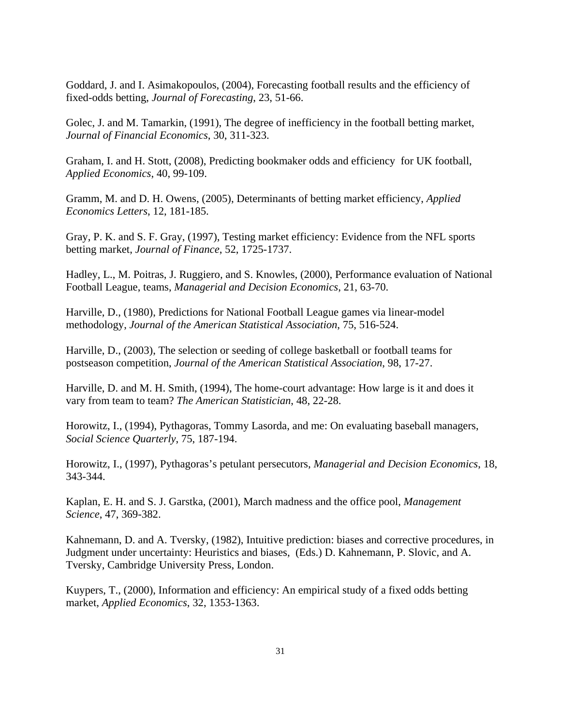Goddard, J. and I. Asimakopoulos, (2004), Forecasting football results and the efficiency of fixed-odds betting, *Journal of Forecasting*, 23, 51-66.

Golec, J. and M. Tamarkin, (1991), The degree of inefficiency in the football betting market, *Journal of Financial Economics*, 30, 311-323.

Graham, I. and H. Stott, (2008), Predicting bookmaker odds and efficiency for UK football, *Applied Economics*, 40, 99-109.

Gramm, M. and D. H. Owens, (2005), Determinants of betting market efficiency, *Applied Economics Letters*, 12, 181-185.

Gray, P. K. and S. F. Gray, (1997), Testing market efficiency: Evidence from the NFL sports betting market, *Journal of Finance*, 52, 1725-1737.

Hadley, L., M. Poitras, J. Ruggiero, and S. Knowles, (2000), Performance evaluation of National Football League, teams, *Managerial and Decision Economics*, 21, 63-70.

Harville, D., (1980), Predictions for National Football League games via linear-model methodology, *Journal of the American Statistical Association*, 75, 516-524.

Harville, D., (2003), The selection or seeding of college basketball or football teams for postseason competition, *Journal of the American Statistical Association*, 98, 17-27.

Harville, D. and M. H. Smith, (1994), The home-court advantage: How large is it and does it vary from team to team? *The American Statistician*, 48, 22-28.

Horowitz, I., (1994), Pythagoras, Tommy Lasorda, and me: On evaluating baseball managers, *Social Science Quarterly*, 75, 187-194.

Horowitz, I., (1997), Pythagoras's petulant persecutors, *Managerial and Decision Economics*, 18, 343-344.

Kaplan, E. H. and S. J. Garstka, (2001), March madness and the office pool, *Management Science*, 47, 369-382.

Kahnemann, D. and A. Tversky, (1982), Intuitive prediction: biases and corrective procedures, in Judgment under uncertainty: Heuristics and biases, (Eds.) D. Kahnemann, P. Slovic, and A. Tversky, Cambridge University Press, London.

Kuypers, T., (2000), Information and efficiency: An empirical study of a fixed odds betting market, *Applied Economics*, 32, 1353-1363.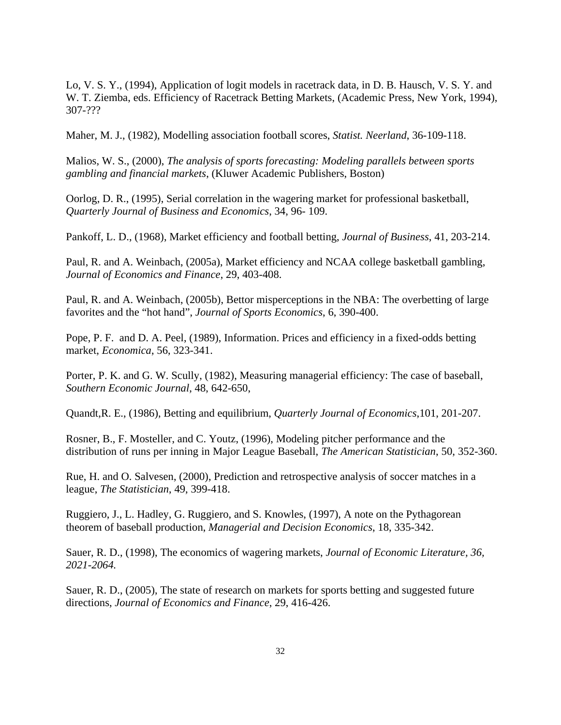Lo, V. S. Y., (1994), Application of logit models in racetrack data, in D. B. Hausch, V. S. Y. and W. T. Ziemba, eds. Efficiency of Racetrack Betting Markets, (Academic Press, New York, 1994), 307-???

Maher, M. J., (1982), Modelling association football scores, *Statist. Neerland*, 36-109-118.

Malios, W. S., (2000), *The analysis of sports forecasting: Modeling parallels between sports gambling and financial markets*, (Kluwer Academic Publishers, Boston)

Oorlog, D. R., (1995), Serial correlation in the wagering market for professional basketball, *Quarterly Journal of Business and Economics*, 34, 96- 109.

Pankoff, L. D., (1968), Market efficiency and football betting, *Journal of Business*, 41, 203-214.

Paul, R. and A. Weinbach, (2005a), Market efficiency and NCAA college basketball gambling, *Journal of Economics and Finance*, 29, 403-408.

Paul, R. and A. Weinbach, (2005b), Bettor misperceptions in the NBA: The overbetting of large favorites and the "hot hand", *Journal of Sports Economics*, 6, 390-400.

Pope, P. F. and D. A. Peel, (1989), Information. Prices and efficiency in a fixed-odds betting market, *Economica*, 56, 323-341.

Porter, P. K. and G. W. Scully, (1982), Measuring managerial efficiency: The case of baseball, *Southern Economic Journal*, 48, 642-650,

Quandt,R. E., (1986), Betting and equilibrium, *Quarterly Journal of Economics*,101, 201-207.

Rosner, B., F. Mosteller, and C. Youtz, (1996), Modeling pitcher performance and the distribution of runs per inning in Major League Baseball, *The American Statistician*, 50, 352-360.

Rue, H. and O. Salvesen, (2000), Prediction and retrospective analysis of soccer matches in a league, *The Statistician*, 49, 399-418.

Ruggiero, J., L. Hadley, G. Ruggiero, and S. Knowles, (1997), A note on the Pythagorean theorem of baseball production, *Managerial and Decision Economics*, 18, 335-342.

Sauer, R. D., (1998), The economics of wagering markets, *Journal of Economic Literature, 36, 2021-2064.*

Sauer, R. D., (2005), The state of research on markets for sports betting and suggested future directions, *Journal of Economics and Finance*, 29, 416-426.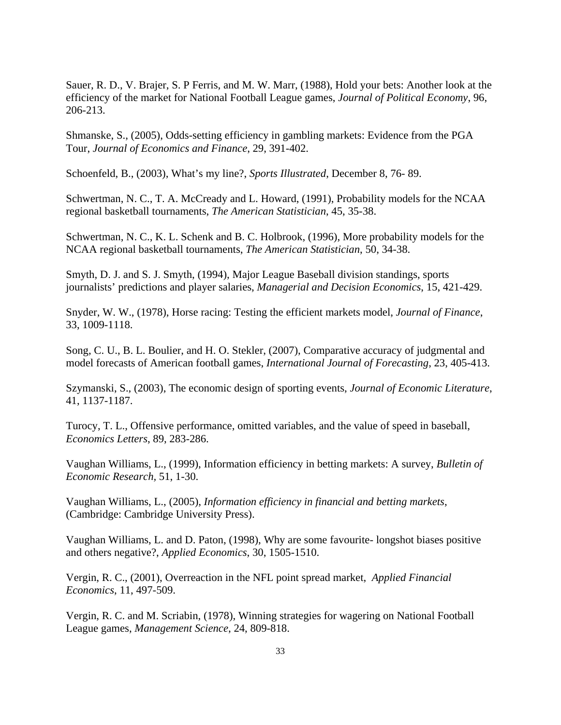Sauer, R. D., V. Brajer, S. P Ferris, and M. W. Marr, (1988), Hold your bets: Another look at the efficiency of the market for National Football League games, *Journal of Political Economy*, 96, 206-213.

Shmanske, S., (2005), Odds-setting efficiency in gambling markets: Evidence from the PGA Tour, *Journal of Economics and Finance*, 29, 391-402.

Schoenfeld, B., (2003), What's my line?, *Sports Illustrated*, December 8, 76- 89.

Schwertman, N. C., T. A. McCready and L. Howard, (1991), Probability models for the NCAA regional basketball tournaments, *The American Statistician*, 45, 35-38.

Schwertman, N. C., K. L. Schenk and B. C. Holbrook, (1996), More probability models for the NCAA regional basketball tournaments, *The American Statistician*, 50, 34-38.

Smyth, D. J. and S. J. Smyth, (1994), Major League Baseball division standings, sports journalists' predictions and player salaries, *Managerial and Decision Economics*, 15, 421-429.

Snyder, W. W., (1978), Horse racing: Testing the efficient markets model, *Journal of Finance*, 33, 1009-1118.

Song, C. U., B. L. Boulier, and H. O. Stekler, (2007), Comparative accuracy of judgmental and model forecasts of American football games, *International Journal of Forecasting*, 23, 405-413.

Szymanski, S., (2003), The economic design of sporting events, *Journal of Economic Literature*, 41, 1137-1187.

Turocy, T. L., Offensive performance, omitted variables, and the value of speed in baseball, *Economics Letters*, 89, 283-286.

Vaughan Williams, L., (1999), Information efficiency in betting markets: A survey, *Bulletin of Economic Research,* 51, 1-30.

Vaughan Williams, L., (2005), *Information efficiency in financial and betting markets*, (Cambridge: Cambridge University Press).

Vaughan Williams, L. and D. Paton, (1998), Why are some favourite- longshot biases positive and others negative?, *Applied Economics*, 30, 1505-1510.

Vergin, R. C., (2001), Overreaction in the NFL point spread market, *Applied Financial Economics*, 11, 497-509.

Vergin, R. C. and M. Scriabin, (1978), Winning strategies for wagering on National Football League games, *Management Science*, 24, 809-818.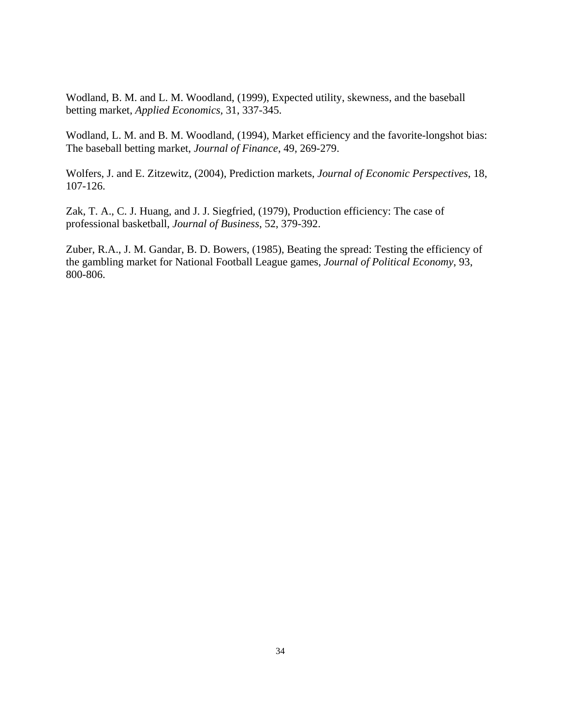Wodland, B. M. and L. M. Woodland, (1999), Expected utility, skewness, and the baseball betting market, *Applied Economics,* 31, 337-345.

Wodland, L. M. and B. M. Woodland, (1994), Market efficiency and the favorite-longshot bias: The baseball betting market, *Journal of Finance*, 49, 269-279.

Wolfers, J. and E. Zitzewitz, (2004), Prediction markets, *Journal of Economic Perspectives*, 18, 107-126.

Zak, T. A., C. J. Huang, and J. J. Siegfried, (1979), Production efficiency: The case of professional basketball, *Journal of Business*, 52, 379-392.

Zuber, R.A., J. M. Gandar, B. D. Bowers, (1985), Beating the spread: Testing the efficiency of the gambling market for National Football League games, *Journal of Political Economy*, 93, 800-806.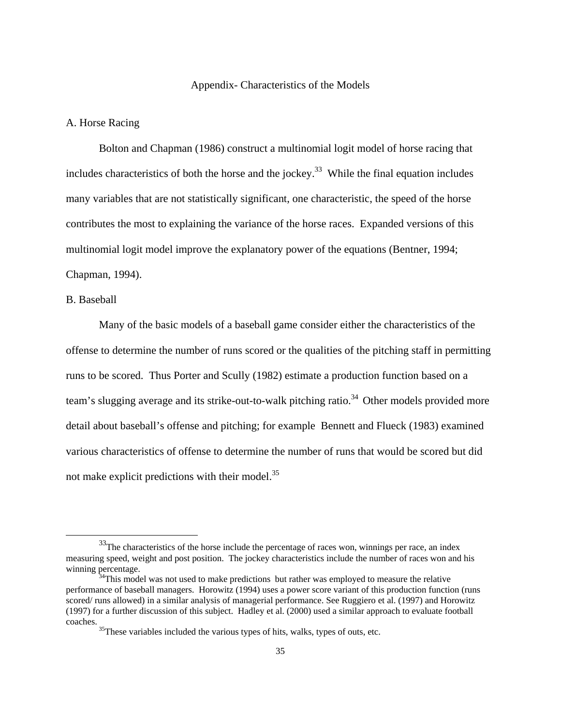#### Appendix- Characteristics of the Models

#### A. Horse Racing

 Bolton and Chapman (1986) construct a multinomial logit model of horse racing that includes characteristics of both the horse and the jockey.<sup>33</sup> While the final equation includes many variables that are not statistically significant, one characteristic, the speed of the horse contributes the most to explaining the variance of the horse races. Expanded versions of this multinomial logit model improve the explanatory power of the equations (Bentner, 1994; Chapman, 1994).

#### B. Baseball

 Many of the basic models of a baseball game consider either the characteristics of the offense to determine the number of runs scored or the qualities of the pitching staff in permitting runs to be scored. Thus Porter and Scully (1982) estimate a production function based on a team's slugging average and its strike-out-to-walk pitching ratio.<sup>34</sup> Other models provided more detail about baseball's offense and pitching; for example Bennett and Flueck (1983) examined various characteristics of offense to determine the number of runs that would be scored but did not make explicit predictions with their model. $35$ 

 $33$ The characteristics of the horse include the percentage of races won, winnings per race, an index measuring speed, weight and post position. The jockey characteristics include the number of races won and his winning percentage.<br><sup>34</sup>This model was not used to make predictions but rather was employed to measure the relative

performance of baseball managers. Horowitz (1994) uses a power score variant of this production function (runs scored/ runs allowed) in a similar analysis of managerial performance. See Ruggiero et al. (1997) and Horowitz (1997) for a further discussion of this subject. Hadley et al. (2000) used a similar approach to evaluate football coaches. 35These variables included the various types of hits, walks, types of outs, etc.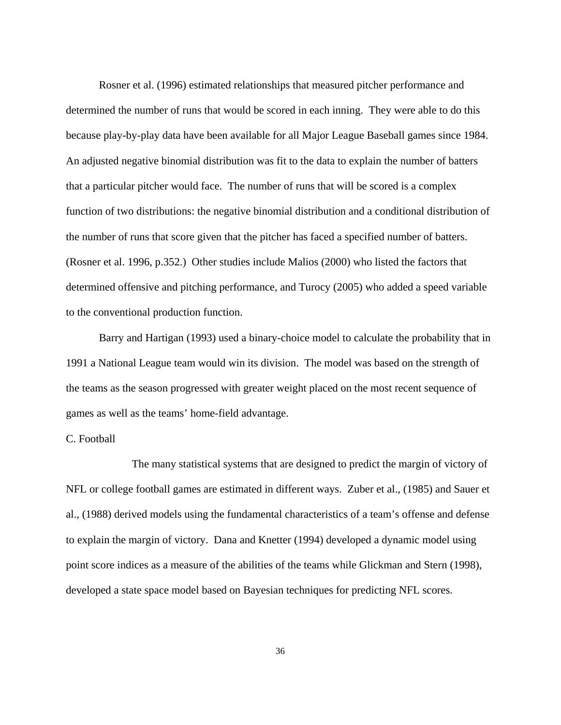Rosner et al. (1996) estimated relationships that measured pitcher performance and determined the number of runs that would be scored in each inning. They were able to do this because play-by-play data have been available for all Major League Baseball games since 1984. An adjusted negative binomial distribution was fit to the data to explain the number of batters that a particular pitcher would face. The number of runs that will be scored is a complex function of two distributions: the negative binomial distribution and a conditional distribution of the number of runs that score given that the pitcher has faced a specified number of batters. (Rosner et al. 1996, p.352.) Other studies include Malios (2000) who listed the factors that determined offensive and pitching performance, and Turocy (2005) who added a speed variable to the conventional production function.

 Barry and Hartigan (1993) used a binary-choice model to calculate the probability that in 1991 a National League team would win its division. The model was based on the strength of the teams as the season progressed with greater weight placed on the most recent sequence of games as well as the teams' home-field advantage.

#### C. Football

 The many statistical systems that are designed to predict the margin of victory of NFL or college football games are estimated in different ways. Zuber et al., (1985) and Sauer et al., (1988) derived models using the fundamental characteristics of a team's offense and defense to explain the margin of victory. Dana and Knetter (1994) developed a dynamic model using point score indices as a measure of the abilities of the teams while Glickman and Stern (1998), developed a state space model based on Bayesian techniques for predicting NFL scores.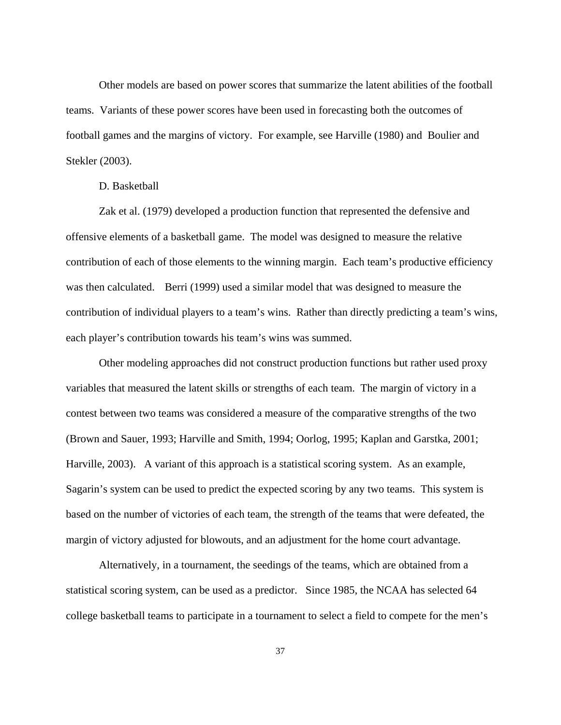Other models are based on power scores that summarize the latent abilities of the football teams. Variants of these power scores have been used in forecasting both the outcomes of football games and the margins of victory. For example, see Harville (1980) and Boulier and Stekler (2003).

#### D. Basketball

 Zak et al. (1979) developed a production function that represented the defensive and offensive elements of a basketball game. The model was designed to measure the relative contribution of each of those elements to the winning margin. Each team's productive efficiency was then calculated. Berri (1999) used a similar model that was designed to measure the contribution of individual players to a team's wins. Rather than directly predicting a team's wins, each player's contribution towards his team's wins was summed.

 Other modeling approaches did not construct production functions but rather used proxy variables that measured the latent skills or strengths of each team. The margin of victory in a contest between two teams was considered a measure of the comparative strengths of the two (Brown and Sauer, 1993; Harville and Smith, 1994; Oorlog, 1995; Kaplan and Garstka, 2001; Harville, 2003). A variant of this approach is a statistical scoring system. As an example, Sagarin's system can be used to predict the expected scoring by any two teams. This system is based on the number of victories of each team, the strength of the teams that were defeated, the margin of victory adjusted for blowouts, and an adjustment for the home court advantage.

 Alternatively, in a tournament, the seedings of the teams, which are obtained from a statistical scoring system, can be used as a predictor. Since 1985, the NCAA has selected 64 college basketball teams to participate in a tournament to select a field to compete for the men's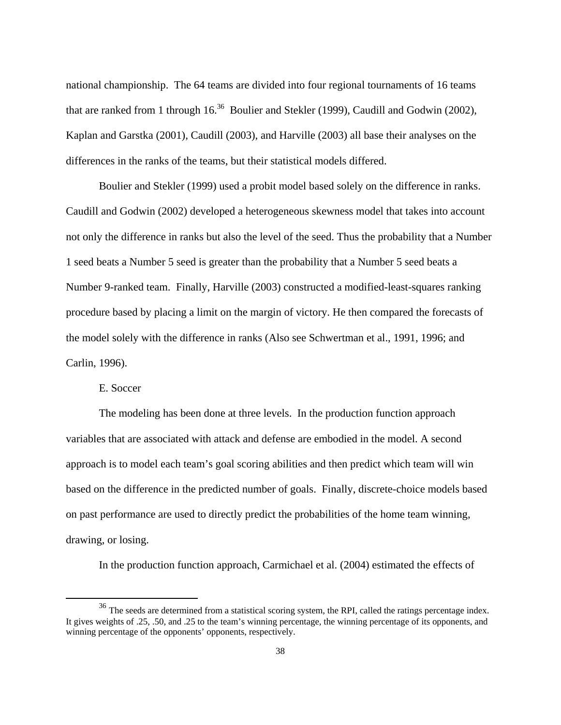national championship. The 64 teams are divided into four regional tournaments of 16 teams that are ranked from 1 through  $16^{36}$  Boulier and Stekler (1999), Caudill and Godwin (2002), Kaplan and Garstka (2001), Caudill (2003), and Harville (2003) all base their analyses on the differences in the ranks of the teams, but their statistical models differed.

 Boulier and Stekler (1999) used a probit model based solely on the difference in ranks. Caudill and Godwin (2002) developed a heterogeneous skewness model that takes into account not only the difference in ranks but also the level of the seed. Thus the probability that a Number 1 seed beats a Number 5 seed is greater than the probability that a Number 5 seed beats a Number 9-ranked team. Finally, Harville (2003) constructed a modified-least-squares ranking procedure based by placing a limit on the margin of victory. He then compared the forecasts of the model solely with the difference in ranks (Also see Schwertman et al., 1991, 1996; and Carlin, 1996).

E. Soccer

 The modeling has been done at three levels. In the production function approach variables that are associated with attack and defense are embodied in the model. A second approach is to model each team's goal scoring abilities and then predict which team will win based on the difference in the predicted number of goals. Finally, discrete-choice models based on past performance are used to directly predict the probabilities of the home team winning, drawing, or losing.

In the production function approach, Carmichael et al. (2004) estimated the effects of

<sup>&</sup>lt;sup>36</sup> The seeds are determined from a statistical scoring system, the RPI, called the ratings percentage index. It gives weights of .25, .50, and .25 to the team's winning percentage, the winning percentage of its opponents, and winning percentage of the opponents' opponents, respectively.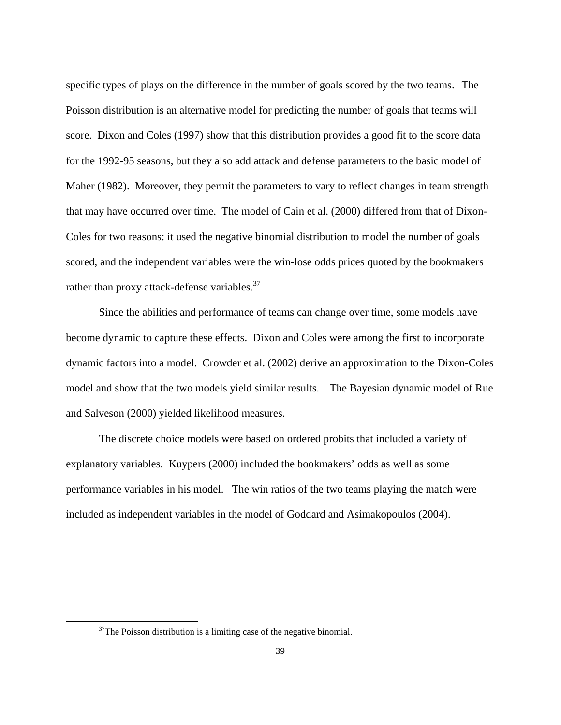specific types of plays on the difference in the number of goals scored by the two teams. The Poisson distribution is an alternative model for predicting the number of goals that teams will score. Dixon and Coles (1997) show that this distribution provides a good fit to the score data for the 1992-95 seasons, but they also add attack and defense parameters to the basic model of Maher (1982). Moreover, they permit the parameters to vary to reflect changes in team strength that may have occurred over time. The model of Cain et al. (2000) differed from that of Dixon-Coles for two reasons: it used the negative binomial distribution to model the number of goals scored, and the independent variables were the win-lose odds prices quoted by the bookmakers rather than proxy attack-defense variables.<sup>37</sup>

Since the abilities and performance of teams can change over time, some models have become dynamic to capture these effects. Dixon and Coles were among the first to incorporate dynamic factors into a model. Crowder et al. (2002) derive an approximation to the Dixon-Coles model and show that the two models yield similar results. The Bayesian dynamic model of Rue and Salveson (2000) yielded likelihood measures.

 The discrete choice models were based on ordered probits that included a variety of explanatory variables. Kuypers (2000) included the bookmakers' odds as well as some performance variables in his model. The win ratios of the two teams playing the match were included as independent variables in the model of Goddard and Asimakopoulos (2004).

 $37$ The Poisson distribution is a limiting case of the negative binomial.